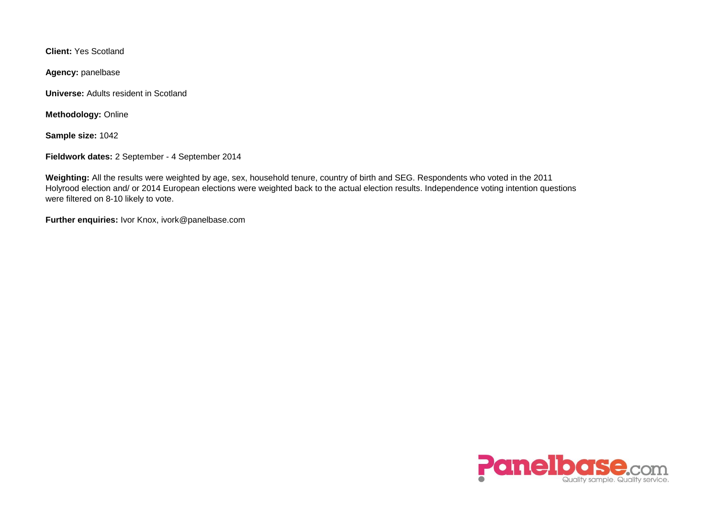**Client:** Yes Scotland

**Agency:** panelbase

**Universe:** Adults resident in Scotland

**Methodology:** Online

**Sample size:** 1042

**Fieldwork dates:** 2 September - 4 September 2014

**Weighting:** All the results were weighted by age, sex, household tenure, country of birth and SEG. Respondents who voted in the 2011 Holyrood election and/ or 2014 European elections were weighted back to the actual election results. Independence voting intention questions were filtered on 8-10 likely to vote.

**Further enquiries:** Ivor Knox, ivork@panelbase.com

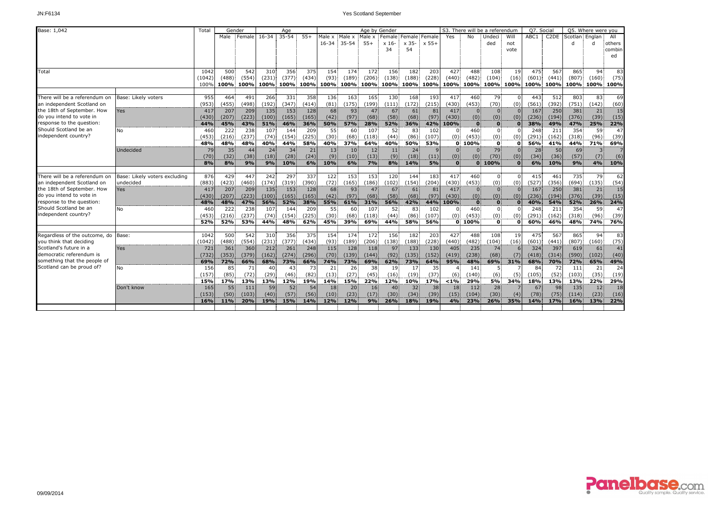| Base: 1,042                   |                               | Total  |       | Gender |           | Age             |       |           |                 |        | Age by Gender  |                 |                |              |                | S3. There will be a referendum |           | Q7. Social |                   |                | Q5. Where were you |                |
|-------------------------------|-------------------------------|--------|-------|--------|-----------|-----------------|-------|-----------|-----------------|--------|----------------|-----------------|----------------|--------------|----------------|--------------------------------|-----------|------------|-------------------|----------------|--------------------|----------------|
|                               |                               |        | Male  | Female | $16 - 34$ | $35 - 54$       | $55+$ | Male x    | Male x          | Male x | Female         |                 | Female: Female | Yes          | No             | Undeci                         | Will      | ABC1       | C <sub>2</sub> DE | Scotlan Englan |                    | All            |
|                               |                               |        |       |        |           |                 |       | $16 - 34$ | $35 - 54$       | $55+$  | x 16           | x 35-           | $x 55+$        |              |                | ded                            | not       |            |                   | d              |                    | others         |
|                               |                               |        |       |        |           |                 |       |           |                 |        | 34             | 54              |                |              |                |                                | vote      |            |                   |                |                    | combin         |
|                               |                               |        |       |        |           |                 |       |           |                 |        |                |                 |                |              |                |                                |           |            |                   |                |                    | ed             |
|                               |                               |        |       |        |           |                 |       |           |                 |        |                |                 |                |              |                |                                |           |            |                   |                |                    |                |
| Total                         |                               | 1042   | 500   | 542    | 310       | 356             | 375   | 154       | 174             | 172    | 156            | 182             | 203            | 427          | 488            | 108                            | 19        | 475        | 567               | 865            | 94                 | 83             |
|                               |                               | (1042) | (488) | (554)  | (231)     | (377)           | (434) | (93)      | (189)           | (206)  | (138)          | (188)           | (228)          | (440)        | (482)          | (104)                          | (16)      | (601)      | (441)             | (807)          | (160)              | (75)           |
|                               |                               | 100%   | 100%  | 100%   |           | 100% 100% 100%  |       |           | 100% 100%       |        | 100% 100% 100% |                 | 100%           | 100%         | 100%           |                                | 100% 100% | 100%       | 100%l             |                |                    | 100% 100% 100% |
|                               |                               |        |       |        |           |                 |       |           |                 |        |                |                 |                |              |                |                                |           |            |                   |                |                    |                |
| There will be a referendum on | Base: Likely voters           | 955    | 464   | 491    | 266       | 331             | 358   | 136       | 163             | 165    | 130            | 168             | 193            | 417          | 460            | 79                             |           | 443        | 512               | 803            | 83                 | 69             |
| an independent Scotland on    |                               | (953)  | (455) | (498)  | (192)     | (347)           | (414) | (81)      | (175)           | (199)  | (111)          | (172)           | (215)          | (430)        | (453)          | (70)                           | (0)       | (561)      | (392)             | (751)          | (142)              | (60)           |
| the 18th of September. How    | <b>Yes</b>                    | 417    | 207   | 209    | 135       | 153             | 128   | 68        | 93              | 47     | 67             | 61              | 81             | 417          | $\overline{0}$ | $\Omega$                       |           | 167        | 250               | 381            | 21                 | 15             |
| do you intend to vote in      |                               | (430)  | (207) | (223)  | (100)     | (165)           | (165) | (42)      | (97)            | (68)   | (58)           | (68)            | (97)           | (430)        | (0)            | (0)                            | (0)       | (236)      | (194)             | (376)          | (39)               | (15)           |
| response to the question:     |                               | 44%    | 45%   | 43%    | 51%       | 46%             | 36%   | 50%       | 57%             | 28%    | 52%            | 36%             | 42%            | 100%         | $\bf{0}$       | $\mathbf{0}$                   | $\Omega$  | 38%        | 49%               | 47%            | 25%                | 22%            |
| Should Scotland be an         | <b>No</b>                     | 460    | 222   | 238    | 107       | 144             | 209   | 55        | 60              | 107    | 52             | 83              | 102            | $\mathbf{0}$ | 460            | $\mathbf{0}$                   |           | 248        | 211               | 354            | 59                 | 47             |
| independent country?          |                               | (453)  | (216) | (237)  | (74)      | (154)           | (225) | (30)      | (68)            | (118)  | (44)           | (86)            | (107)          | (0)          | (453)          | (0)                            | (0)       | (291)      | (162)             | (318)          | (96)               | (39)           |
|                               |                               | 48%    | 48%   | 48%    | 40%       | 44%             | 58%   | 40%       | 37%             | 64%    | 40%            | 50%             | 53%            |              | 0.100%         | $\mathbf{0}$                   | $\Omega$  | 56%        | 41%               | 44%            | 71%                | 69%            |
|                               | Undecided                     | 79     | 35    | 44     | 24        | 34              | 21    | 13        | 10 <sub>1</sub> | 12     | 11             | 24              |                | $\mathbf{0}$ | 0              | 79                             | $\Omega$  | 28         | 50                | 69             |                    | $\overline{7}$ |
|                               |                               | (70)   | (32)  | (38)   | (18)      | (28)            | (24)  | (9)       | (10)            | (13)   | (9)            | (18)            | (11)           | (0)          | (0)            | (70)                           | (0)       | (34)       | (36)              | (57)           | (7)                | (6)            |
|                               |                               | 8%     | 8%    | 9%     | 9%        | 10%             | 6%    | 10%       | 6%              | 7%     | 8%             | 14%             | 5%             | $\bf{0}$     |                | 0.100%                         |           | 6%         | 10%               | 9%             | 4%                 | 10%            |
|                               |                               |        |       |        |           |                 |       |           |                 |        |                |                 |                |              |                |                                |           |            |                   |                |                    |                |
| There will be a referendum on | Base: Likely voters excluding | 876    | 429   | 447    | 242       | 297             | 337   | 122       | 153             | 153    | 120            | 144             | 183            | 417          | 460            | $\Omega$                       | $\Omega$  | 415        | 461               | 735            | 79                 | 62             |
| an independent Scotland on    | undecided                     | (883)  | (423) | (460)  | (174)     | (319)           | (390) | (72)      | (165)           | (186)  | (102)          | (154)           | (204)          | (430)        | (453)          | (0)                            | (0)       | (527)      | (356)             | (694)          | (135)              | (54)           |
| the 18th of September. How    | <b>Yes</b>                    | 417    | 207   | 209    | 135       | 153             | 128   | 68        | 93              | 47     | 67             | 61              | 81             | 417          | $\mathbf{0}$   | $\Omega$                       |           | 167        | 250               | 381            | 21                 | 15             |
| do vou intend to vote in      |                               | (430)  | (207) | (223)  | (100)     | (165)           | (165) | (42)      | (97)            | (68)   | (58)           | (68)            | (97)           | (430)        | (0)            | (0)                            | (0)       | (236)      | (194)             | (376)          | (39)               | (15)           |
| response to the question:     |                               | 48%    | 48%   | 47%    | 56%       | 52%             | 38%   | 55%       | 61%             | 31%    | 56%            | 42%             | 44%            | 100%         | $\bf{0}$       | $\Omega$                       |           | 40%        | 54%               | 52%            | 26%                | 24%            |
| Should Scotland be an         | <b>No</b>                     | 460    | 222   | 238    | 107       | 144             | 209   | 55        | 60              | 107    | 52             | 83              | 102            | $\Omega$     | 460            | $\Omega$                       |           | 248        | 211               | 354            | 59                 | 47             |
| independent country?          |                               | (453)  | (216) | (237)  | (74)      | (154)           | (225) | $(30)$ :  | (68)            | (118)  | (44)           | (86)            | (107)          | (0)          | (453)          | (0)                            | (0)       | (291)      | (162)             | (318)          | (96)               | (39)           |
|                               |                               | 52%    | 52%   | 53%    | 44%       | 48%             | 62%   | 45%       | 39%             | 69%    | 44%            | 58%             | 56%            |              | 0.100%         | $\mathbf{0}$                   | o         | 60%        | 46%               | 48%            | 74%                | 76%            |
|                               |                               |        |       |        |           |                 |       |           |                 |        |                |                 |                |              |                |                                |           |            |                   |                |                    |                |
| Regardless of the outcome, do | Base:                         | 1042   | 500   | 542    | 310       | 356             | 375   | 154       | 174             | 172    | 156            | 182             | 203            | 427          | 488            | 108                            | 19        | 475        | 567               | 865            | 94                 | 83             |
| you think that deciding       |                               | (1042) | (488) | (554)  | (231)     | (377)           | (434) | (93)      | (189)           | (206)  | (138)          | (188)           | (228)          | (440)        | (482)          | (104)                          | (16)      | (601)      | (441)             | (807)          | (160)              | (75)           |
| Scotland's future in a        | Yes                           | 721    | 361   | 360    | 212       | 261             | 248   | 115       | 128             | 118    | 97             | 133             | 130            | 405          | 235            | 74                             |           | 324        | 397               | 619            | 61                 | 41             |
| democratic referendum is      |                               | (732)  | (353) | (379)  | (162)     | (274)           | (296) | (70)      | (139)           | (144)  | (92)           | (135)           | (152)          | (419)        | (238)          | (68)                           | (7)       | (418)      | (314)             | (590)          | (102)              | (40)           |
| something that the people of  |                               | 69%    | 72%   | 66%    | 68%       | 73%             | 66%   | 74%       | 73%             | 69%    | 62%            | 73%             | 64%            | 95%          | 48%            | 69%                            | 31%       | 68%        | 70%               | 72%            | 65%                | 49%            |
| Scotland can be proud of?     | <b>No</b>                     | 156    | 85    | 71     | 40        | 43              | 73    | 21        | 26              | 38     | 19             | 17 <sup>1</sup> | 35             |              | 141            |                                |           | 84         | 72                | 111            | 21                 | 24             |
|                               |                               | (157)  | (85)  | (72)   | (29)      | (46)            | (82)  | (13)      | (27)            | (45)   | (16)           | (19)            | (37)           | (6)          | (140)          | (6)                            | (5)       | (105)      | (52)              | (103)          | (35)               | (19)           |
|                               |                               | 15%    | 17%   | 13%    | 13%       | 12%             | 19%   | 14%       | 15%             | 22%    | 12%            | 10%             | 17%            | < 1%         | 29%            | 5%                             | 34%       | 18%        | 13%               | 13%            | 22%                | 29%            |
|                               | Don't know                    | 165    | 55    | 111    | 59        | 52 <sub>1</sub> | 54    | 18        | 20              | 16     | 40             | 32              | 38             | 18           | 112            | 28                             |           | 67         | 98                | 135            | 12 <sup>1</sup>    | 18             |
|                               |                               | (153)  | (50)  | (103)  | (40)      | (57)            | (56)  | (10)      | (23)            | (17)   | (30)           | (34)            | (39)           | (15)         | (104)          | (30)                           | (4)       | (78)       | (75)              | (114)          | (23)               | (16)           |
|                               |                               | 16%    | 11%   | 20%    | 19%       | 15%             | 14%   | 12%       | 12%             | 9%     | 26%            | 18%             | 19%            | 4%           | 23%            | 26%                            | 35%       | 14%        | 17%               | 16%            | 13%                | 22%            |
|                               |                               |        |       |        |           |                 |       |           |                 |        |                |                 |                |              |                |                                |           |            |                   |                |                    |                |

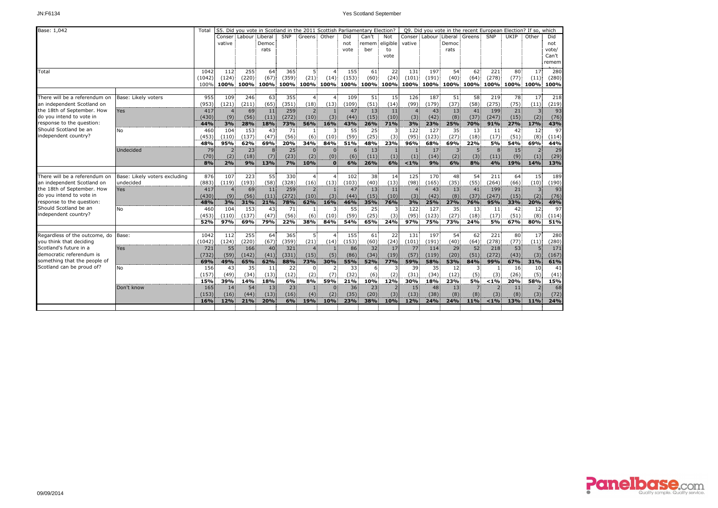| Base: 1,042                                   |                               | Total  |                |                         | S5. Did you vote in Scotland in the 2011 Scottish Parliamentary Election? |       |                |                |       |                 |          |                |       |       |                                    |                | Q9. Did you vote in the recent European Election? If so, which |                 |       |
|-----------------------------------------------|-------------------------------|--------|----------------|-------------------------|---------------------------------------------------------------------------|-------|----------------|----------------|-------|-----------------|----------|----------------|-------|-------|------------------------------------|----------------|----------------------------------------------------------------|-----------------|-------|
|                                               |                               |        |                | Conser: Labour: Liberal |                                                                           | SNP   | Greens Other   |                | Did   | Can't           | Not      |                |       |       | Conser: Labour: Liberal : Greens : | SNP            | UKIP                                                           | Other           | Did   |
|                                               |                               |        | vative         |                         | Democ                                                                     |       |                |                | not   | remem           | eligible | vative         |       | Democ |                                    |                |                                                                |                 | not   |
|                                               |                               |        |                |                         | rats                                                                      |       |                |                | vote  | ber             | to       |                |       | rats  |                                    |                |                                                                |                 | vote/ |
|                                               |                               |        |                |                         |                                                                           |       |                |                |       |                 | vote     |                |       |       |                                    |                |                                                                |                 | Can't |
|                                               |                               |        |                |                         |                                                                           |       |                |                |       |                 |          |                |       |       |                                    |                |                                                                |                 | remem |
| Total                                         |                               | 1042   | 112            | 255                     | 64                                                                        | 365   |                | $\Delta$       | 155   | 61              | 22       | 131            | 197   | 54    | 62                                 | 221            | 80                                                             | 17              | 280   |
|                                               |                               | (1042) | (124)          | (220)                   | (67)                                                                      | (359) | (21)           | (14)           | (153) | (60)            | (24)     | (101)          | (191) | (40)  | (64)                               | (278)          | (77)                                                           | (11)            | (280) |
|                                               |                               | 100%   |                |                         |                                                                           |       |                |                |       |                 |          |                |       |       |                                    |                |                                                                |                 |       |
|                                               |                               |        |                |                         |                                                                           |       |                |                |       |                 |          |                |       |       |                                    |                |                                                                |                 |       |
| There will be a referendum on                 | Base: Likely voters           | 955    | 109            | 246                     | 63                                                                        | 355   | $\Delta$       | $\overline{4}$ | 109   | 51              | 15       | 126            | 187   | 51    | 58                                 | 219            | 78                                                             | 17              | 218   |
| an independent Scotland on                    |                               | (953)  | (121)          | (211)                   | (65)                                                                      | (351) | (18)           | (13)           | (109) | (51)            | (14)     | (99)           | (179) | (37)  | (58)                               | (275)          | (75)                                                           | (11)            | (219) |
| the 18th of September. How                    | Yes                           | 417    | $\overline{4}$ | 69                      | 11                                                                        | 259   | 2              | $\mathbf{1}$   | 47    | 13              | 11       | $\overline{4}$ | 43    | 13    | 41                                 | 199            | 21                                                             | $\overline{3}$  | 93    |
| do you intend to vote in                      |                               | (430)  | (9)            | (56)                    | (11)                                                                      | (272) | (10)           | (3)            | (44)  | (15)            | (10)     | (3)            | (42)  | (8)   | (37)                               | (247)          | (15)                                                           | (2)             | (76)  |
| response to the question:                     |                               | 44%    | 3%             | 28%                     | 18%                                                                       | 73%   | 56%            | 16%            | 43%   | 26%             | 71%      | 3%             | 23%   | 25%   | 70%                                | 91%            | 27%                                                            | 17%             | 43%   |
| Should Scotland be an<br>independent country? | No                            | 460    | 104            | 153                     | 43                                                                        | 71    | 1              | 3              | 55    | 25              |          | 122            | 127   | 35    | 13                                 | 11             | 42                                                             | 12              | 97    |
|                                               |                               | (453)  | (110)          | (137)                   | (47)                                                                      | (56)  | (6)            | (10)           | (59)  | (25)            | (3)      | (95)           | (123) | (27)  | (18)                               | (17)           | (51)                                                           | (8)             | (114) |
|                                               |                               | 48%    | 95%            | 62%                     | 69%                                                                       | 20%   | 34%            | 84%            | 51%   | 48%             | 23%      | 96%            | 68%   | 69%   | 22%                                | 5%             | 54%                                                            | 69%             | 44%   |
|                                               | Undecided                     | 79     | 2              | 23                      | 8                                                                         | 25    | $\Omega$       | $\mathbf{0}$   | 6     | 13              |          |                | 17    |       |                                    | 8              | 15                                                             |                 | 29    |
|                                               |                               | (70)   | (2)            | (18)                    | (7)                                                                       | (23)  | (2)            | (0)            | (6)   | (11)            | (1)      | (1)            | (14)  | (2)   | (3)                                | (11)           | (9)                                                            | (1)             | (29)  |
|                                               |                               | 8%     | 2%             | 9%                      | 13%                                                                       | 7%    | 10%            | $\bf{0}$       | 6%    | 26%             | 6%       | $1\%$          | 9%    | 6%    | 8%                                 | 4%             | 19%                                                            | 14%             | 13%   |
| There will be a referendum on                 | Base: Likely voters excluding | 876    | 107            | 223                     | 55                                                                        | 330   | $\overline{4}$ | $\overline{4}$ | 102   | 38              | 14       | 125            | 170   | 48    | 54                                 | 211            | 64                                                             | 15              | 189   |
| an independent Scotland on                    | undecided                     | (883)  | (119)          | (193)                   | (58)                                                                      | (328) | (16)           | (13)           | (103) | (40)            | (13)     | (98)           | (165) | (35)  | (55)                               | (264)          | (66)                                                           | (10)            | (190) |
| the 18th of September. How                    | Yes                           | 417    | $\overline{4}$ | 69                      | 11                                                                        | 259   | $\overline{2}$ | $\mathbf{1}$   | 47    | 13 <sup>1</sup> | 11       | $\overline{4}$ | 43    | 13    | 41                                 | 199            | 21                                                             | $\overline{3}$  | 93    |
| do you intend to vote in                      |                               | (430)  | (9)            | (56)                    | (11)                                                                      | (272) | (10)           | (3)            | (44)  | (15)            | (10)     | (3)            | (42)  | (8)   | (37)                               | (247)          | (15)                                                           | (2)             | (76)  |
| response to the question:                     |                               | 48%    | 3%             | 31%                     | 21%                                                                       | 78%   | 62%            | 16%            | 46%   | 35%             | 76%      | 3%             | 25%   | 27%   | 76%                                | 95%            | 33%                                                            | 20%             | 49%   |
| Should Scotland be an                         | No                            | 460    | 104            | 153                     | 43                                                                        | 71    | $\mathbf{1}$   | 3              | 55    | 25              | 3        | 122            | 127   | 35    | 13                                 | 11             | 42                                                             | 12 <sup>2</sup> | 97    |
| independent country?                          |                               | (453)  | (110)          | (137)                   | (47)                                                                      | (56)  | (6)            | (10)           | (59)  | (25)            | (3)      | (95)           | (123) | (27)  | (18)                               | (17)           | (51)                                                           | (8)             | (114) |
|                                               |                               | 52%    | 97%            | 69%                     | 79%                                                                       | 22%   | 38%            | 84%            | 54%   | 65%             | 24%      | 97%            | 75%   | 73%   | 24%                                | 5%             | 67%                                                            | 80%             | 51%   |
|                                               |                               |        |                |                         |                                                                           |       |                |                |       |                 |          |                |       |       |                                    |                |                                                                |                 |       |
| Regardless of the outcome, do                 | Base:                         | 1042   | 112            | 255                     | 64                                                                        | 365   | 5              | $\overline{4}$ | 155   | 61              | 22       | 131            | 197   | 54    | 62                                 | 221            | 80                                                             | 17              | 280   |
| you think that deciding                       |                               | (1042) | (124)          | (220)                   | (67)                                                                      | (359) | (21)           | (14)           | (153) | (60)            | (24)     | (101)          | (191) | (40)  | (64)                               | (278)          | (77)                                                           | (11)            | (280) |
| Scotland's future in a                        | Yes                           | 721    | 55             | 166                     | 40                                                                        | 321   | $\overline{4}$ |                | 86    | 32 <sup>1</sup> | 17       | 77             | 114   | 29    | 52                                 | 218            | 53                                                             |                 | 171   |
| democratic referendum is                      |                               | (732)  | (59)           | (142)                   | (41)                                                                      | (331) | (15)           | (5)            | (86)  | (34)            | (19)     | (57)           | (119) | (20)  | (51)                               | (272)          | (43)                                                           | (3)             | (167) |
| something that the people of                  |                               | 69%    | 49%            | 65%                     | 62%                                                                       | 88%   | 73%            | 30%            | 55%   | 52%             | 77%      | 59%            | 58%   | 53%   | 84%                                | 99%            | 67%                                                            | 31%             | 61%   |
| Scotland can be proud of?                     | No                            | 156    | 43             | 35                      | 11                                                                        | 22    | $\mathbf{0}$   | $\overline{2}$ | 33    | 6               |          | 39             | 35    | 12    | 3.                                 |                | 16                                                             | 10              | 41    |
|                                               |                               | (157)  | (49)           | (34)                    | (13)                                                                      | (12)  | (2)            | (7)            | (32)  | (6)             | (2)      | (31)           | (34)  | (12)  | (5)                                | (3)            | (26)                                                           | (5)             | (41)  |
|                                               |                               | 15%    | 39%            | 14%                     | 18%                                                                       | 6%    | 8%             | 59%            | 21%   | 10%             | 12%      | 30%            | 18%   | 23%   | 5%                                 | < 1%           | 20%                                                            | 58%             | 15%   |
|                                               | Don't know                    | 165    | 14             | 54                      | 13                                                                        | 23    | $\mathbf{1}$   | $\mathbf{0}$   | 36    | 23              |          | 15             | 48    | 13    | $\overline{7}$                     | $\overline{2}$ | 11                                                             | 2 <sup>1</sup>  | 68    |
|                                               |                               | (153)  | (16)           | (44)                    | (13)                                                                      | (16)  | (4)            | (2)            | (35)  | (20)            | (3)      | (13)           | (38)  | (8)   | (8)                                | (3)            | (8)                                                            | (3)             | (72)  |
|                                               |                               | 16%    | 12%            | 21%                     | 20%                                                                       | 6%    | 19%            | 10%            | 23%   | 38%             | 10%      | 12%            | 24%   | 24%   | 11%                                | $< 1\%$        | 13%                                                            | 11%             | 24%   |
|                                               |                               |        |                |                         |                                                                           |       |                |                |       |                 |          |                |       |       |                                    |                |                                                                |                 |       |

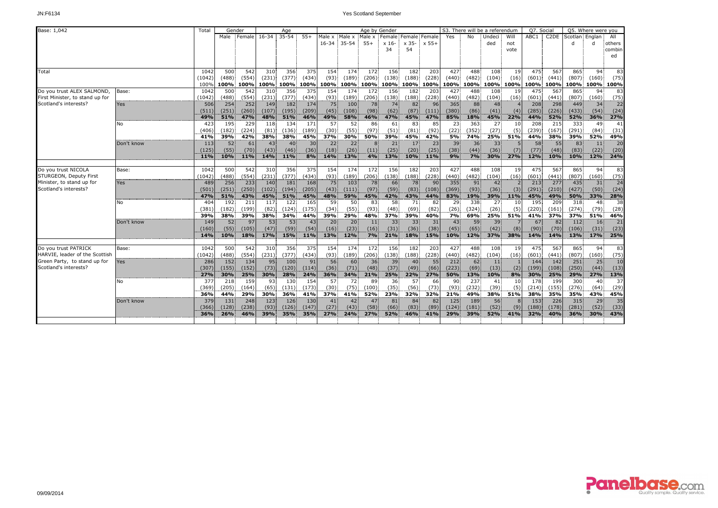| Base: 1,042                     |            | Total      | Gender |        |            | Age       |           |           |           |        | Age by Gender   |            |               |       |       | S3. There will be a referendum |           | Q7. Social |                   |              | Q5. Where were you |        |
|---------------------------------|------------|------------|--------|--------|------------|-----------|-----------|-----------|-----------|--------|-----------------|------------|---------------|-------|-------|--------------------------------|-----------|------------|-------------------|--------------|--------------------|--------|
|                                 |            |            | Male   | Female | $16 - 34$  | $35 - 54$ | $55+$     | Male x    | Male x    | Male x | Female:         |            | Female Female | Yes   | No    | Undeci                         | Will      | ABC1       | C <sub>2</sub> DE | Scotlan      | Englan             | All    |
|                                 |            |            |        |        |            |           |           | $16 - 34$ | $-35-54$  | $55+$  | x 16-           | x 35-      | $x 55+$       |       |       | ded                            | not       |            |                   | $\mathsf{d}$ |                    | others |
|                                 |            |            |        |        |            |           |           |           |           |        | 34              | 54         |               |       |       |                                | vote      |            |                   |              |                    | combin |
|                                 |            |            |        |        |            |           |           |           |           |        |                 |            |               |       |       |                                |           |            |                   |              |                    | ed     |
|                                 |            |            |        |        |            |           |           |           |           |        |                 |            |               |       |       |                                |           |            |                   |              |                    |        |
| Total                           |            | 1042       | 500    | 542    | 310        | 356       | 375       | 154       | 174       | 172    | 156             | 182        | 203           | 427   | 488   | 108                            | 19        | 475        | 567               | 865          | 94                 | 83     |
|                                 |            | (1042)     | (488)  | (554)  | (231)      | (377)     | (434)     | (93)      | (189)     | (206)  | (138)           | (188)      | (228)         | (440) | (482) | (104)                          | (16)      | (601)      | (441)             | (807)        | (160)              | (75)   |
|                                 |            | 100%       | 100%   | 100%   | 100%       |           | 100% 100% |           | 100% 100% |        | 100% 100% 100%  |            | 100%          | 100%  | 100%  |                                | 100% 100% |            | 100% 100%         |              | 100% 100%          | 100%   |
| Do you trust ALEX SALMOND,      | Base:      | 1042       | 500    | 542    | 310        | 356       | 375       | 154       | 174       | 172    | 156             | 182        | 203           | 427   | 488   | 108                            | 19        | 475        | 567               | 865          | 94                 | 83     |
| First Minister, to stand up for |            | (1042)     | (488)  | (554)  | (231)      | (377)     | (434)     | (93)      | (189)     | (206)  | (138)           | (188)      | (228)         | (440) | (482) | (104)                          | (16)      | (601)      | (441)             | (807)        | (160)              | (75)   |
| Scotland's interests?           | Yes        | 506        | 254    | 252    | 149        | 182       | 174       | 75        | 100       | 78     | 74              | 82         | 96            | 365   | 88    | 48                             |           | 208        | 298               | 449          | 34                 | 22     |
|                                 |            | (511)      | (251)  | (260)  | (107)      | (195)     | (209)     | (45)      | (108)     | (98)   | (62)            | (87)       | (111)         | (380) | (86)  | (41)                           | (4)       | (285)      | (226)             | (433)        | (54)               | (24)   |
|                                 |            | 49%        | 51%    | 47%    | <b>48%</b> | 51%       | 46%       | 49%       | 58%       | 46%    | 47%             | 45%        | 47%           | 85%   | 18%   | 45%                            | 22%       | 44%        | 52%               | 52%          | 36%                | 27%    |
|                                 | No         | 423        | 195    | 229    | 118        | 134       | 171       | 57        | 52        | 86     | 61              | 83         | 85            | 23    | 363   | 27                             | 10        | 208        | 215               | 333          | 49                 | 41     |
|                                 |            | (406)      | (182)  | (224)  | (81)       | (136)     | (189)     | (30)      | (55)      | (97)   | (51)            | (81)       | (92)          | (22)  | (352) | (27)                           | (5)       | (239)      | (167)             | (291)        | (84)               | (31)   |
|                                 |            | 41%        | 39%    | 42%    | 38%        | 38%       | 45%       | 37%       | 30%       | 50%    | 39%             | 45%        | 42%           | 5%    | 74%   | 25%                            | 51%       | 44%        | 38%               | 39%          | 52%                | 49%    |
|                                 | Don't know | 113        | 52     | 61     | 43         | 40        | 30        | 22        | 22        | 8      | 21              | 17         | 23            | 39    | 36    | 33                             |           | 58         | 55                | 83           | 11                 | 20     |
|                                 |            | (125)      | (55)   | (70)   | (43)       | (46)      | (36)      | (18)      | (26)      | (11)   | (25)            | (20)       | (25)          | (38)  | (44)  | (36)                           | (7)       | (77)       | (48)              | (83)         | (22)               | (20)   |
|                                 |            | <b>11%</b> | 10%    | 11%    | 14%        | 11%       | 8%        | 14%       | 13%       | 4%     | 13%             | 10%        | 11%           | 9%    | 7%    | 30%                            | 27%       | 12%        | 10%               | 10%          | 12%                | 24%    |
| Do you trust NICOLA             | Base:      | 1042       | 500    | 542    | 310        | 356       | 375       | 154       | 174       | 172.   | 156             | 182        | 203           | 427   | 488   | 108                            | 19        | 475        | 567               | 865          | 94                 | 83     |
| STURGEON, Deputy First          |            | (1042)     | (488)  | (554)  | (231)      | (377)     | (434)     | (93)      | (189)     | (206)  | (138)           | (188)      | (228)         | (440) | (482) | (104)                          | (16)      | (601)      | (441)             | (807)        | (160)              | (75)   |
| Minister, to stand up for       | Yes        | 489        | 256    | 233    | 140        | 181       | 168       | 75        | 103       | 78     | 66              | 78         | 90            | 355   | 91    | 42                             |           | 213        | 277               | 435          | 31                 | 24     |
| Scotland's interests?           |            | (501)      | (251)  | (250)  | (102)      | (194)     | (205)     | (43)      | (111)     | (97)   | (59)            | (83)       | (108)         | (369) | (93)  | (36)                           | (3)       | (291)      | (210)             | (427)        | (50)               | (24)   |
|                                 |            | 47%        | 51%    | 43%    | 45%        | 51%       | 45%       | 48%       | 59%       | 45%    | 42%             | 43%        | 44%           | 83%   | 19%   | 39%                            | 11%       | 45%        | 49%               | 50%          | 33%                | 28%    |
|                                 | No         | 404        | 192    | 211    | 117        | 122       | 165       | 59        | 50        | 83     | 58              | 71         | 82            | 29    | 338   | 27                             | 10        | 195        | 209               | 318          | 48                 | 38     |
|                                 |            | (381)      | (182)  | (199)  | (82)       | (124)     | (175)     | (34)      | (55)      | (93)   | (48)            | (69)       | (82)          | (26)  | (324) | (26)                           | (5)       | (220)      | (161)             | (274)        | (79)               | (28)   |
|                                 |            | 39%        | 38%    | 39%    | 38%        | 34%       | 44%       | 39%       | 29%       | 48%    | 37%             | 39%        | 40%           | 7%    | 69%   | 25%                            | 51%       | 41%        | 37%               | 37%          | 51%                | 46%    |
|                                 | Don't know | 149        | 52     | 97     | 53         | 53        | 43        | 20        | 20        | 11     | 33 <sup>1</sup> | 33         | 31            | 43    | 59    | 39                             |           | 67         | 82                | 112          | 16                 | 21     |
|                                 |            | (160)      | (55)   | (105)  | (47)       | (59)      | (54)      | (16)      | (23)      | (16)   | (31)            | (36)       | (38)          | (45)  | (65)  | (42)                           | (8)       | (90)       | (70)              | (106)        | (31)               | (23)   |
|                                 |            | 14%        | 10%    | 18%    | 17%        | 15%       | 11%       | 13%       | 12%       | 7%     | 21%             | <b>18%</b> | 15%           | 10%   | 12%   | 37%                            | 38%       | 14%        | 14%               | 13%          | 17%                | 25%    |
|                                 |            |            |        |        |            |           |           |           |           |        |                 |            |               |       |       |                                |           |            |                   |              |                    |        |
| Do you trust PATRICK            | Base:      | 1042       | 500    | 542    | 310        | 356       | 375       | 154       | 174       | 172    | 156             | 182        | 203           | 427   | 488   | 108                            | 19        | 475        | 567               | 865          | 94                 | 83     |
| HARVIE, leader of the Scottish  |            | (1042)     | (488)  | (554)  | (231)      | (377)     | (434)     | (93)      | (189)     | (206)  | (138)           | (188)      | (228)         | (440) | (482) | (104)                          | (16)      | (601)      | (441)             | (807)        | (160)              | (75)   |
| Green Party, to stand up for    | Yes        | 286        | 152    | 134    | 95         | 100       | 91        | 56        | 60        | 36     | 39              | 40         | 55            | 212   | 62    | 11                             |           | 144        | 142               | 251          | 25                 | 10     |
| Scotland's interests?           |            | (307)      | (155)  | (152)  | (73)       | (120)     | (114)     | (36)      | (71)      | (48)   | (37)            | (49)       | (66)          | (223) | (69)  | (13)                           | (2)       | (199)      | (108)             | (250)        | (44)               | (13)   |
|                                 |            | 27%        | 30%    | 25%    | 30%        | 28%       | 24%       | 36%       | 34%       | 21%    | 25%             | 22%        | 27%           | 50%   | 13%   | 10%                            | 8%        | 30%        | 25%               | 29%          | 27%                | 13%    |
|                                 | No         | 377        | 218    | 159    | 93         | 130       | 154       | 57        | 72        | 89     | 36              | 57         | 66            | 90    | 237   | 41                             | 10        | 178        | 199               | 300          | 40                 | 37     |
|                                 |            | (369)      | (205)  | (164)  | (65)       | (131)     | (173)     | (30)      | (75)      | (100)  | (35)            | (56)       | (73)          | (93)  | (232) | (39)                           | (5)       | (214)      | (155)             | (276)        | (64)               | (29)   |
|                                 |            | 36%        | 44%    | 29%    | 30%        | 36%       | 41%       | 37%       | 41%       | 52%    | 23%             | 32%        | 32%           | 21%   | 49%   | 38%                            | 51%       | 38%        | 35%               | 35%          | 43%                | 45%    |
|                                 | Don't know | 379        | 131    | 248    | 123        | 126       | 130       | 41.       | 42        | 47     | 81              | 84         | 82            | 125   | 189   | 56                             |           | 153        | 226               | 315          | 29                 | 35     |
|                                 |            | (366)      | (128)  | (238)  | (93)       | (126)     | (147)     | (27)      | (43)      | (58)   | (66)            | (83)       | (89)          | (124) | (181) | (52)                           | (9)       | (188)      | (178)             | (281)        | (52)               | (33)   |
|                                 |            | 36%        | 26%    | 46%    | 39%        | 35%       | 35%       | 27%       | 24%       | 27%    | 52%             | 46%        | 41%           | 29%   | 39%   | 52%                            | 41%       | 32%        | 40%               | 36%          | 30%                | 43%    |
|                                 |            |            |        |        |            |           |           |           |           |        |                 |            |               |       |       |                                |           |            |                   |              |                    |        |

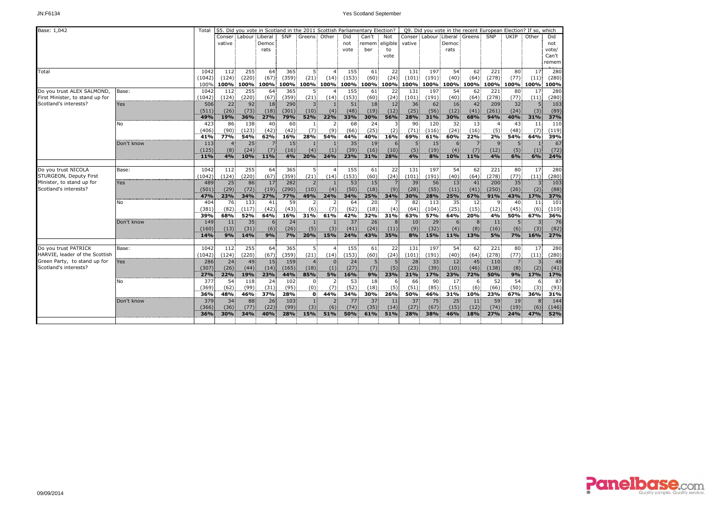| Base: 1,042                     |            | Total  |        |                 | S5. Did you vote in Scotland in the 2011 Scottish Parliamentary Election? |       |                |                |                 |                |            |                 |                         | Q9. Did you vote in the recent European Election? If so, which |                |       |                |                |       |
|---------------------------------|------------|--------|--------|-----------------|---------------------------------------------------------------------------|-------|----------------|----------------|-----------------|----------------|------------|-----------------|-------------------------|----------------------------------------------------------------|----------------|-------|----------------|----------------|-------|
|                                 |            |        |        | Conser Labour   | Liberal                                                                   | SNP   | Greens Other   |                | Did             | Can't          | <b>Not</b> |                 | Conser: Labour: Liberal |                                                                | Greens         | SNP   | UKIP           | Other          | Did   |
|                                 |            |        | vative |                 | Democ                                                                     |       |                |                | not             | remem eligible |            | vative          |                         | Democ                                                          |                |       |                |                | not   |
|                                 |            |        |        |                 | rats                                                                      |       |                |                | vote            | ber            | to         |                 |                         | rats                                                           |                |       |                |                | vote/ |
|                                 |            |        |        |                 |                                                                           |       |                |                |                 |                | vote       |                 |                         |                                                                |                |       |                |                | Can't |
|                                 |            |        |        |                 |                                                                           |       |                |                |                 |                |            |                 |                         |                                                                |                |       |                |                | remem |
| Total                           |            | 1042   | 112    | 255             | 64                                                                        | 365   | 5.             | $\overline{4}$ | 155             | 61             | 22         | 131             | 197                     | 54                                                             | 62             | 221   | 80             | 17             | 280   |
|                                 |            | (1042) | (124)  | (220)           | (67)                                                                      | (359) | (21)           | (14)           | (153)           | (60)           | (24)       | (101)           | (191)                   | (40)                                                           | (64)           | (278) | (77)           | (11)           | (280) |
|                                 |            | 100%   | 100%   |                 | 100% 100%                                                                 | 100%  |                | 100% 100%      |                 | 100% 100% 100% |            | 100%            | 100%                    |                                                                | 100% 100% 100% |       | 100%           | 100%           | 100%  |
| Do you trust ALEX SALMOND,      | Base:      | 1042   | 112    | 255             | 64                                                                        | 365   | 5.             |                | 155             | 61             | 22         | 131             | 197                     | 54                                                             | 62             | 221   | 80             | 17             | 280   |
| First Minister, to stand up for |            | (1042) | (124)  | (220)           | (67)                                                                      | (359) | (21)           | (14)           | (153)           | (60)           | (24)       | (101)           | (191)                   | (40)                                                           | (64)           | (278) | (77)           | (11)           | (280) |
| Scotland's interests?           | Yes        | 506    | 22     | 92              | 18                                                                        | 290   | $\overline{3}$ | $\mathbf{1}$   | 51              | 18             | 12         | 36              | 62                      | 16                                                             | 42             | 209   | 32             | 5              | 103   |
|                                 |            | (511)  | (26)   | (73)            | (18)                                                                      | (301) | (10)           | (4)            | (48)            | (19)           | (12)       | (25)            | (56)                    | (12)                                                           | (41)           | (261) | (24)           | (3)            | (89)  |
|                                 |            | 49%    | 19%    | 36%             | 27%                                                                       | 79%   | 52%            | 22%            | 33%             | 30%            | 56%        | 28%             | 31%                     | 30%                                                            | 68%            | 94%   | 40%            | 31%            | 37%   |
|                                 | No         | 423    | 86     | 138             | 40                                                                        | 60    | -11            | 2              | 68              | 24             |            | 90              | 120                     | 32                                                             | 13             | 4     | 43             | 11             | 110   |
|                                 |            | (406)  | (90)   | (123)           | (42)                                                                      | (42)  | (7)            | (9)            | (66)            | (25)           | (2)        | (71)            | (116)                   | (24)                                                           | (16)           | (5)   | (48)           | (7)            | (119) |
|                                 |            | 41%    | 77%    | 54%             | 62%                                                                       | 16%   | 28%            | 54%            | 44%             | 40%            | 16%        | 69%             | 61%                     | 60%                                                            | 22%            | 2%    | 54%            | 64%            | 39%   |
|                                 | Don't know | 113    |        | 25              |                                                                           | 15    |                |                | 35              | 19             |            |                 | 15                      |                                                                |                |       | 5              |                | 67    |
|                                 |            | (125)  | (8)    | (24)            | (7)                                                                       | (16)  | (4)            | (1)            | (39)            | (16)           | (10)       | (5)             | (19)                    | (4)                                                            | (7)            | (12)  | (5)            | (1)            | (72)  |
|                                 |            | 11%    | 4%     | 10%             | 11%                                                                       | 4%    | 20%            | 24%            | 23%             | 31%            | 28%        | 4%              | 8%                      | 10%                                                            | 11%            | 4%    | 6%             | 6%             | 24%   |
| Do you trust NICOLA             | Base:      | 1042   | 112    | 255             | 64                                                                        | 365   | 5              | 4              | 155             | 61             | 22         | 131             | 197                     | 54                                                             | 62             | 221   | 80             | 17             | 280   |
| STURGEON, Deputy First          |            | (1042) | (124)  | (220)           | (67)                                                                      | (359) | (21)           | (14)           | (153)           | (60)           | (24)       | (101)           | (191)                   | (40)                                                           | (64)           | (278) | (77)           | (11)           | (280) |
| Minister, to stand up for       | Yes        | 489    | 25     | 86              | 17                                                                        | 282   | $\overline{2}$ |                | 53              | 15             |            | 39              | 56                      | 13                                                             | 41             | 200   | 35             | 3              | 103   |
| Scotland's interests?           |            | (501)  | (29)   | (72)            | (19)                                                                      | (290) | (10)           | (4)            | (50)            | (18)           | (9)        | (28)            | (55)                    | (11)                                                           | (41)           | (250) | (26)           | (2)            | (88)  |
|                                 |            | 47%    | 23%    | 34%             | 27%                                                                       | 77%   | 49%            | 24%            | 34%             | 25%            | 34%        | 30%             | 28%                     | 25%                                                            | 67%            | 91%   | 43%            | 17%            | 37%   |
|                                 | No         | 404    | 76     | 133             | 41                                                                        | 59    | $2^{\circ}$    | 2 <sup>1</sup> | 64              | 20             |            | 82              | 113                     | 35                                                             | 12             | 9     | 40             | 11             | 101   |
|                                 |            | (381)  | (82)   | (117)           | (42)                                                                      | (43)  | (6)            | (7)            | (62)            | (18)           | (4)        | (64)            | (104)                   | (25)                                                           | (15)           | (12)  | (45)           | (6)            | (110) |
|                                 |            | 39%    | 68%    | 52%             | 64%                                                                       | 16%   | 31%            | 61%            | 42%             | 32%            | 31%        | 63%             | 57%                     | 64%                                                            | 20%            | 4%    | 50%            | 67%            | 36%   |
|                                 | Don't know | 149    | 11     | 35 <sup>1</sup> | 6                                                                         | 24    | $\vert$ 1      |                | 37              | 26             |            | 10 <sup>1</sup> | 29                      | 6 <sup>1</sup>                                                 | 8              | 11    | 5 <sup>1</sup> | $\overline{3}$ | 76    |
|                                 |            | (160)  | (13)   | (31)            | (6)                                                                       | (26)  | (5)            | (3)            | (41)            | (24)           | (11)       | (9)             | (32)                    | (4)                                                            | (8)            | (16)  | (6)            | (3)            | (82)  |
|                                 |            | 14%    | 9%     | 14%             | 9%                                                                        | 7%    | 20%            | 15%            | 24%             | 43%            | 35%        | 8%              | 15%                     | 11%                                                            | 13%            | 5%    | 7%             | 16%            | 27%   |
|                                 |            |        |        |                 |                                                                           |       |                |                |                 |                |            |                 |                         |                                                                |                |       |                |                |       |
| Do you trust PATRICK            | Base:      | 1042   | 112    | 255             | 64                                                                        | 365   | 5.             |                | 155             | 61             | 22         | 131             | 197                     | 54                                                             | 62             | 221   | 80             | 17             | 280   |
| HARVIE, leader of the Scottish  |            | (1042) | (124)  | (220)           | (67)                                                                      | (359) | (21)           | (14)           | (153)           | (60)           | (24)       | (101)           | (191)                   | (40)                                                           | (64)           | (278) | (77)           | (11)           | (280) |
| Green Party, to stand up for    | Yes        | 286    | 24     | 49              | 15                                                                        | 159   | $\overline{4}$ | $\Omega$       | 24 <sup>1</sup> | 5              |            | 28              | 33                      | 12                                                             | 45             | 110   | $\overline{7}$ | $\overline{3}$ | 48    |
| Scotland's interests?           |            | (307)  | (26)   | (44)            | (14)                                                                      | (165) | (18)           | (1)            | (27)            | (7)            | (5)        | (23)            | (39)                    | (10)                                                           | (46)           | (138) | (8)            | (2)            | (41)  |
|                                 |            | 27%    | 22%    | 19%             | 23%                                                                       | 44%   | 85%            | 5%             | 16%             | 9%             | 23%        | 21%             | 17%                     | 23%                                                            | 72%            | 50%   | 9%             | 17%            | 17%   |
|                                 | No         | 377    | 54     | 118             | 24                                                                        | 102   | $\mathbf{0}$   | $\overline{2}$ | 53              | 18             | 6          | 66              | 90                      | 17                                                             | 6.             | 52    | 54             | 6              | 87    |
|                                 |            | (369)  | (62)   | (99)            | (31)                                                                      | (95)  | (0)            | (7)            | (52)            | (18)           | (5)        | (51)            | (85)                    | (15)                                                           | (6)            | (66)  | (50)           | (3)            | (93)  |
|                                 |            | 36%    | 48%    | 46%             | 37%                                                                       | 28%   | $\mathbf{0}$   | 44%            | 34%             | 30%            | 26%        | 50%             | 46%                     | 31%                                                            | 10%            | 23%   | 67%            | 36%            | 31%   |
|                                 | Don't know | 379    | 34     | 88              | 26                                                                        | 103   |                |                | 77              | 37             | 11         | 37              | 75                      | 25                                                             | 11             | 59    | 19             | 8              | 144   |
|                                 |            | (366)  | (36)   | (77)            | (22)                                                                      | (99)  | (3)            | (6)            | (74)            | (35)           | (14)       | (27)            | (67)                    | (15)                                                           | (12)           | (74)  | (19)           | (6)            | (146) |
|                                 |            | 36%    | 30%    | 34%             | 40%                                                                       | 28%   | 15%            | 51%            | 50%             | 61%            | 51%        | 28%             | 38%                     | <b>46%</b>                                                     | 18%            | 27%   | 24%            | 47%            | 52%   |
|                                 |            |        |        |                 |                                                                           |       |                |                |                 |                |            |                 |                         |                                                                |                |       |                |                |       |

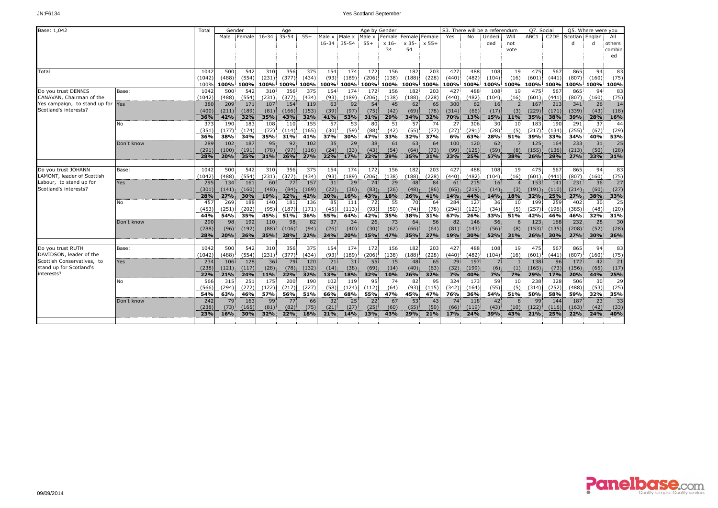| Base: 1,042                   |            | Total  | Gender |        |            | Age       |       |                 |           |                  | Age by Gender |                |         |       |       | S3. There will be a referendum |      | Q7. Social       |                   |         | Q5. Where were you |                 |
|-------------------------------|------------|--------|--------|--------|------------|-----------|-------|-----------------|-----------|------------------|---------------|----------------|---------|-------|-------|--------------------------------|------|------------------|-------------------|---------|--------------------|-----------------|
|                               |            |        | Male   | Female | $16 - 34$  | $35 - 54$ | $55+$ | Male x          | Male x    | Male x           | Female:       | Female: Female |         | Yes   | No    | Undeci                         | Will | ABC <sub>1</sub> | C <sub>2</sub> DE | Scotlan | Englan             | All             |
|                               |            |        |        |        |            |           |       | $16 - 34$       | $35 - 54$ | $55+$            | $x 16$ -      | x 35-          | $x 55+$ |       |       | ded                            | not  |                  |                   | d       |                    | others          |
|                               |            |        |        |        |            |           |       |                 |           |                  | 34            | 54             |         |       |       |                                | vote |                  |                   |         |                    | combin          |
|                               |            |        |        |        |            |           |       |                 |           |                  |               |                |         |       |       |                                |      |                  |                   |         |                    | ed              |
|                               |            |        |        |        |            |           |       |                 |           |                  |               |                |         |       |       |                                |      |                  |                   |         |                    |                 |
| Total                         |            | 1042   | 500    | 542    | 310        | 356       | 375   | 154             | 174       | $\overline{172}$ | 156           | 182            | 203     | 427   | 488   | 108                            | 19   | 475              | 567               | 865     | 94                 | 83              |
|                               |            | (1042) | (488)  | (554)  | (231)      | (377)     | (434) | (93)            | (189)     | (206)            | (138)         | (188)          | (228)   | (440) | (482) | (104)                          | (16) | (601)            | (441)             | (807)   | (160)              | (75)            |
|                               |            | 100%   | 100%   | 100%   | 100%       | 100%      | 100%  |                 | 100% 100% | 100%             |               | 100% 100%      | 100%    | 100%  | 100%  | 100% 100%                      |      |                  | 100% 100%         | 100%    | 100%               | 100%            |
| Do vou trust DENNIS           | Base:      | 1042   | 500    | 542    | 310        | 356       | 375   | 154             | 174       | 172              | 156           | 182            | 203     | 427   | 488   | 108                            | 19   | 475              | 567               | 865     | 94                 | 83              |
| CANAVAN, Chairman of the      |            | (1042) | (488)  | (554)  | (231)      | (377)     | (434) | (93)            | (189)     | (206)            | (138)         | (188)          | (228)   | (440) | (482) | (104)                          | (16) | (601)            | (441)             | (807)   | (160)              | (75)            |
| Yes campaign, to stand up for | Yes        | 380    | 209    | 171    | 107        | 154       | 119   | 63              | 92        | 54               | 45            | 62             | 65      | 300   | 62    | 16                             |      | 167              | 213               | 341     | 26                 | 14              |
| Scotland's interests?         |            | (400)  | (211)  | (189)  | (81)       | (166)     | (153) | (39)            | (97)      | (75)             | (42)          | (69)           | (78)    | (314) | (66)  | (17)                           | (3)  | (229)            | (171)             | (339)   | (43)               | (18)            |
|                               |            | 36%    | 42%    | 32%    | 35%        | 43%       | 32%   | 41%             | 53%       | 31%              | 29%           | 34%            | 32%     | 70%   | 13%   | <b>15%</b>                     | 11%  | 35%              | 38%               | 39%     | 28%                | 16%             |
|                               | No         | 373    | 190    | 183    | 108        | 110       | 155   | 57              | 53        | 80               | 51            | 57             | 74      | 27    | 306   | $30^{\circ}$                   | 10   | 183              | 190               | 291     | 37                 | 44              |
|                               |            | (351)  | (177)  | (174)  | (72)       | (114)     | (165) | (30)            | (59)      | (88)             | (42)          | (55)           | (77)    | (27)  | (291) | (28)                           | (5)  | (217)            | (134)             | (255)   | (67)               | (29)            |
|                               |            | 36%    | 38%    | 34%    | 35%        | 31%       | 41%   | 37%             | 30%       | 47%              | 33%           | 32%            | 37%     | 6%    | 63%   | 28%                            | 51%  | 39%              | 33%               | 34%     | 40%                | 53%             |
|                               | Don't know | 289    | 102    | 187    | 95         | 92        | 102   | 35              | 29        | 38               | 61            | 63             | 64      | 100   | 120   | 62                             |      | 125              | 164               | 233     | 31                 | 25              |
|                               |            | (291)  | (100)  | (191)  | (78)       | (97)      | (116) | (24)            | (33)      | (43)             | (54)          | (64)           | (73)    | (99)  | (125) | (59)                           | (8)  | (155)            | (136)             | (213)   | (50)               | (28)            |
|                               |            | 28%    | 20%    | 35%    | 31%        | 26%       | 27%   | 22%             | 17%       | 22%              | 39%           | 35%            | 31%     | 23%   | 25%   | <b>57%</b>                     | 38%  | 26%              | 29%               | 27%     | 33%                | 31%             |
|                               |            |        |        |        |            |           |       |                 |           |                  |               |                |         |       |       |                                |      |                  |                   |         |                    |                 |
| Do you trust JOHANN           | Base:      | 1042   | 500    | 542    | 310        | 356       | 375   | 154             | 174       | 172              | 156           | 182            | 203     | 427   | 488   | 108                            | 19   | 475              | 567               | 865     | 94                 | 83              |
| LAMONT, leader of Scottish    |            | (1042) | (488)  | (554)  | (231)      | (377)     | (434) | (93)            | (189)     | (206)            | (138)         | (188)          | (228)   | (440) | (482) | (104)                          | (16) | (601)            | (441)             | (807)   | (160)              | (75)            |
| Labour, to stand up for       | Yes        | 295    | 134    | 161    | 60         | 77        | 157   | 31              | 29        | 74               | 29            | 48             | 84      | 61    | 215   | 16                             |      | 153              | 141               | 231     | 36                 | 27              |
| Scotland's interests?         |            | (301)  | (141)  | (160)  | (48)       | (84)      | (169) | (22)            | (36)      | (83)             | (26)          | (48)           | (86)    | (65)  | (219) | (14)                           | (3)  | (191)            | (110)             | (214)   | (60)               | (27)            |
|                               |            | 28%    | 27%    | 30%    | 19%        | 22%       | 42%   | 20%             | 16%       | 43%              | 18%           | 26%            | 41%     | 14%   | 44%   | 14%                            | 18%  | 32%              | 25%               | 27%     | 38%                | 33%             |
|                               | No         | 457    | 269    | 188    | 140        | 181       | 136   | 85              | 111       | 72               | 55            | 70             | 64      | 284   | 127   | 36                             | 10   | 199              | 259               | 402     | 30                 | 25              |
|                               |            | (453)  | (251)  | (202)  | (95)       | (187)     | (171) | (45)            | (113)     | (93)             | (50)          | (74)           | (78)    | (294) | (120) | (34)                           | (5)  | (257)            | (196)             | (385)   | (48)               | (20)            |
|                               |            | 44%    | 54%    | 35%    | 45%        | 51%       | 36%   | 55%             | 64%       | 42%              | 35%           | 38%            | 31%     | 67%   | 26%   | 33%                            | 51%  | 42%              | 46%               | 46%     | 32%                | 31%             |
|                               | Don't know | 290    | 98     | 192    | 110        | 98        | 82    | 37 <sup>2</sup> | 34        | 26               | 73            | 64             | 56      | 82    | 146   | 56                             |      | 123              | 168               | 232     | 28                 | 30 <sup>1</sup> |
|                               |            | (288)  | (96)   | (192)  | (88)       | (106)     | (94)  | (26)            | (40)      | (30)             | (62)          | (66)           | (64)    | (81)  | (143) | (56)                           | (8)  | (153)            | (135)             | (208)   | (52)               | (28)            |
|                               |            | 28%    | 20%    | 36%    | 35%        | 28%       | 22%   | 24%             | 20%       | 15%              | 47%           | 35%            | 27%     | 19%   | 30%   | <b>52%</b>                     | 31%  | 26%              | 30%               | 27%     | 30%                | 36%             |
|                               |            |        |        |        |            |           |       |                 |           |                  |               |                |         |       |       |                                |      |                  |                   |         |                    |                 |
| Do you trust RUTH             | Base:      | 1042   | 500    | 542    | 310        | 356       | 375   | 154             | 174       | 172              | 156           | 182            | 203     | 427   | 488   | 108                            | 19   | 475              | 567               | 865     | 94                 | 83              |
| DAVIDSON, leader of the       |            | (1042) | (488)  | (554)  | (231)      | (377)     | (434) | (93)            | (189)     | (206)            | (138)         | (188)          | (228)   | (440) | (482) | (104)                          | (16) | (601)            | (441)             | (807)   | (160)              | (75)            |
| Scottish Conservatives, to    | Yes        | 234    | 106    | 128    | 36         | 79        | 120   | 21              | 31        | 55               | 15            | 48             | 65      | 29    | 197   | 7 <sup>1</sup>                 |      | 138              | 96                | 172     | 42                 | 21              |
| stand up for Scotland's       |            | (238)  | (121)  | (117)  | (28)       | (78)      | (132) | (14)            | (38)      | (69)             | (14)          | (40)           | (63)    | (32)  | (199) | (6)                            | (1)  | (165)            | (73)              | (156)   | (65)               | (17)            |
| interests?                    |            | 22%    | 21%    | 24%    | <b>11%</b> | 22%       | 32%   | 13%             | 18%       | 32%              | 10%           | 26%            | 32%     | 7%    | 40%   | 7%                             | 7%   | 29%              | 17%               | 20%     | 44%                | 25%             |
|                               | No         | 566    | 315    | 251    | 175        | 200       | 190   | 102             | 119       | 95               | 74            | 82             | 95      | 324   | 173   | 59                             | 10   | 238              | 328               | 506     | 30                 | 29              |
|                               |            | (566)  | (294)  | (272)  | (122)      | (217)     | (227) | (58)            | (124)     | (112)            | (64)          | (93)           | (115)   | (342) | (164) | (55)                           | (5)  | (314)            | (252)             | (488)   | (53)               | (25)            |
|                               |            | 54%    | 63%    | 46%    | 57%        | 56%       | 51%   | 66%             | 68%       | 55%              | 47%           | 45%            | 47%     | 76%   | 36%   | 54%                            | 51%  | 50%              | 58%               | 59%     | 32%                | 35%             |
|                               | Don't know | 242    | 79     | 163    | 99         | 77        | 66    | 32              | 25        | 22               | 67            | 53             | 43      | 74    | 118   | 42                             |      | 99               | 144               | 187     | 23                 | 33              |
|                               |            | (238)  | (73)   | (165)  | (81)       | (82)      | (75)  | (21)            | (27)      | (25)             | (60)          | (55)           | (50)    | (66)  | (119) | (43)                           | (10) | (122)            | (116)             | (163)   | (42)               | (33)            |
|                               |            | 23%    | 16%    | 30%    | 32%        | 22%       | 18%   | 21%             | 14%       | 13%              | 43%           | 29%            | 21%     | 17%   | 24%   | 39%                            | 43%  | 21%              | 25%               | 22%     | 24%                | 40%             |
|                               |            |        |        |        |            |           |       |                 |           |                  |               |                |         |       |       |                                |      |                  |                   |         |                    |                 |

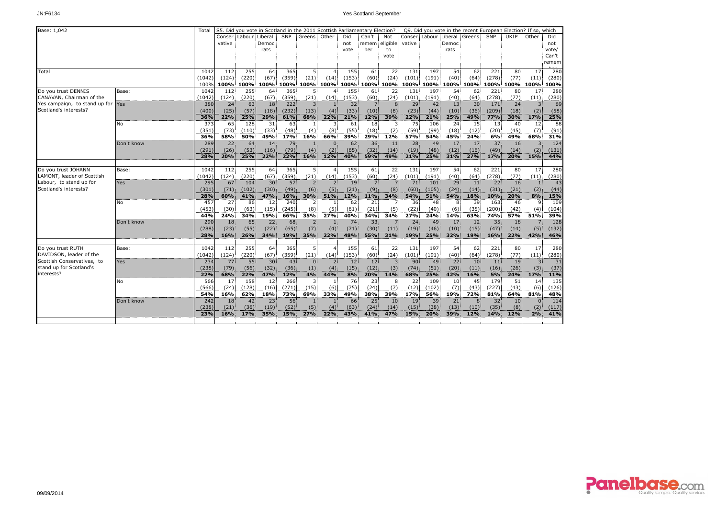| Base: 1,042                       |            | Total        |        |        | S5. Did you vote in Scotland in the 2011 Scottish Parliamentary Election? |             |                |                |                 |                 |             |             |             | Q9. Did you vote in the recent European Election? If so, which |                 |             |                 |                |       |
|-----------------------------------|------------|--------------|--------|--------|---------------------------------------------------------------------------|-------------|----------------|----------------|-----------------|-----------------|-------------|-------------|-------------|----------------------------------------------------------------|-----------------|-------------|-----------------|----------------|-------|
|                                   |            |              | Conser | Labour | Liberal                                                                   | <b>SNP</b>  | Greens Other   |                | Did             | Can't           | <b>Not</b>  |             |             | Conser: Labour: Liberal                                        | Greens          | SNP         | UKIP            | Other          | Did   |
|                                   |            |              | vative |        | Democ                                                                     |             |                |                | not             | remem eligible  |             | vative      |             | Democ                                                          |                 |             |                 |                | not   |
|                                   |            |              |        |        | rats                                                                      |             |                |                | vote            | ber             | to          |             |             | rats                                                           |                 |             |                 |                | vote/ |
|                                   |            |              |        |        |                                                                           |             |                |                |                 |                 | vote        |             |             |                                                                |                 |             |                 |                | Can't |
|                                   |            |              |        |        |                                                                           |             |                |                |                 |                 |             |             |             |                                                                |                 |             |                 |                | remem |
| Total                             |            | 1042         | 112    | 255    | 64                                                                        | 365         | 5.             | $\overline{4}$ | 155             | 61              | 22          | 131         | 197         | 54                                                             | 62              | 221         | 80              | 17             | 280   |
|                                   |            | (1042)       | (124)  | (220)  | $(67)$ :                                                                  | (359)       | (21)           | (14)           | (153)           | (60)            | (24)        | (101)       | (191)       | (40)                                                           | (64)            | (278)       | (77)            | (11)           | (280) |
|                                   |            | 100%         | 100%   |        | 100% 100%                                                                 |             |                | 100% 100% 100% |                 | 100% 100% 100%  |             | 100%        |             | 100% 100% 100% 100%                                            |                 |             | 100%            | 100%           | 100%  |
| Do you trust DENNIS               | Base:      | 1042         | 112    | 255    | 64                                                                        | 365         | 5.             |                | 155             | 61              | 22          | 131         | 197         | 54                                                             | 62              | 221         | 80              | 17             | 280   |
| CANAVAN, Chairman of the          |            | (1042)       | (124)  | (220)  | (67)                                                                      | (359)       | (21)           | (14)           | (153)           | (60)            | (24)        | (101)       | (191)       | (40)                                                           | (64)            | (278)       | (77)            | (11)           | (280) |
| Yes campaign, to stand up for Yes |            | 380          | 24     | 63     | 18                                                                        | 222         | 3.             | $\mathbf{1}$   | 32              | 7 <sup>1</sup>  | 8           | 29          | 42          | 13                                                             | 30 <sup>1</sup> | 171         | 24              | $\overline{3}$ | 69    |
| Scotland's interests?             |            | (400)        | (25)   | (57)   | (18)                                                                      | (232)       | (13)           | (4)            | (33)            | (10)            | (8)         | (23)        | (44)        | (10)                                                           | (36)            | (209)       | (18)            | (2)            | (58)  |
|                                   |            | 36%          | 22%    | 25%    | 29%                                                                       | 61%         | 68%            | 22%            | 21%             | 12%             | 39%         | 22%         | 21%         | 25%                                                            | 49%             | 77%         | 30%             | 17%            | 25%   |
|                                   | No         | 373          | 65     | 128    | 31                                                                        | 63          | -11            | 3              | 61              | 18              |             | 75          | 106         | 24                                                             | 15              | 13          | 40              | 12             | 88    |
|                                   |            | (351)        | (73)   | (110)  | (33)                                                                      | (48)        | (4)            | (8)            | (55)            | (18)            | (2)         | (59)        | (99)        | (18)                                                           | (12)            | (20)        | (45)            | (7)            | (91)  |
|                                   |            | 36%          | 58%    | 50%    | 49%                                                                       | 17%         | 16%            | 66%            | 39%             | 29%             | 12%         | 57%         | 54%         | 45%                                                            | 24%             | 6%          | 49%             | 68%            | 31%   |
|                                   | Don't know | 289          | 22     | 64     | 14                                                                        | 79          |                | $\mathbf{0}$   | 62              | 36              | 11          | 28          | 49          | 17                                                             | 17              | 37          | 16              |                | 124   |
|                                   |            | (291)        | (26)   | (53)   | (16)                                                                      | (79)        | (4)            | (2)            | (65)            | (32)            | (14)        | (19)        | (48)        | (12)                                                           | (16)            | (49)        | (14)            | (2)            | (131) |
|                                   |            | 28%          | 20%    | 25%    | 22%                                                                       | 22%         | 16%            | 12%            | 40%             | 59%             | 49%         | 21%         | 25%         | 31%                                                            | 27%             | 17%         | 20%             | 15%            | 44%   |
|                                   |            |              |        |        |                                                                           |             |                |                |                 |                 |             |             |             |                                                                |                 |             |                 |                |       |
| Do you trust JOHANN               | Base:      | 1042         | 112:   | 255    | 64                                                                        | 365         | 5              | $\overline{4}$ | 155             | 61              | 22          | 131         | 197         | 54                                                             | 62              | 221         | 80              | 17             | 280   |
| LAMONT, leader of Scottish        |            | (1042)       | (124)  | (220)  | (67)                                                                      | (359)       | (21)           | (14)           | (153)           | (60)            | (24)        | (101)       | (191)       | (40)                                                           | (64)            | (278)       | (77)            | (11)           | (280) |
| Labour, to stand up for           | Yes        | 295          | 67     | 104    | 30 <sup>1</sup>                                                           | 57          | 2              | 2 <sup>1</sup> | 19              | $\overline{7}$  |             | 71          | 101         | 29                                                             | 11              | 22          | 16              |                | 43    |
| Scotland's interests?             |            | (301)        | (71)   | (102)  | (30)                                                                      | (49)        | (6)            | (5)            | (21)            | (9)             | (8)         | (60)        | (105)       | (24)                                                           | (14)            | (31)        | (21)            | (2)            | (44)  |
|                                   |            | 28%          | 60%    | 41%    | 47%                                                                       | 16%         | 30%            | 51%            | 12%             | 11%             | 34%         | 54%         | 51%         | 54%                                                            | 18%             | 10%         | 20%             | 8%             | 15%   |
|                                   | No         | 457          | 27     | 86     | 12                                                                        | 240         | $\overline{2}$ | $\mathbf{1}$   | 62              | 21              |             | 36          | 48          | 8                                                              | 39              | 163         | 46              | 9              | 109   |
|                                   |            | (453)        | (30)   | (63)   | (15)                                                                      | (245)       | (8)            | (5)            | (61)            | (21)            | (5)         | (22)        | (40)        | (6)                                                            | (35)            | (200)       | (42)            | (4)            | (104) |
|                                   |            | 44%          | 24%    | 34%    | 19%                                                                       | 66%         | 35%            | 27%            | 40%             | 34%             | 34%         | 27%         | 24%         | 14%                                                            | 63%             | 74%         | 57%             | 51%            | 39%   |
|                                   | Don't know | 290          | 18     | 65     | 22                                                                        | 68          | 2.             |                | 74              | 33 <sup>1</sup> |             | 24          | 49          | 17                                                             | 12              | 35          | 18              |                | 128   |
|                                   |            | (288)        | (23)   | (55)   | (22)                                                                      | (65)        | (7)            | (4)            | (71)            | (30)            | (11)        | (19)        | (46)        | (10)                                                           | (15)            | (47)        | (14)            | (5)            | (132) |
|                                   |            | 28%          | 16%    | 26%    | 34%                                                                       | 19%         | 35%            | 22%            | 48%             | 55%             | 31%         | 19%         | 25%         | 32%                                                            | 19%             | 16%         | 22%             | 42%            | 46%   |
|                                   |            |              |        |        |                                                                           |             |                |                |                 |                 |             |             |             |                                                                |                 |             |                 |                |       |
| Do you trust RUTH                 | Base:      | 1042         | 112    | 255    | 64                                                                        | 365         | 5.             |                | 155             | 61              | 22          | 131         | 197         | 54                                                             | 62              | 221         | 80              | 17             | 280   |
| DAVIDSON, leader of the           |            | (1042)       | (124)  | (220)  | (67)                                                                      | (359)       | (21)           | (14)           | (153)           | (60)            | (24)        | (101)       | (191)       | (40)                                                           | (64)            | (278)       | (77)            | (11)           | (280) |
| Scottish Conservatives, to        | Yes        | 234          | 77     | 55     | 30 <sup>1</sup>                                                           | 43          | $\Omega$       | 2              | 12 <sup>1</sup> | 12 <sup>2</sup> |             | 90          | 49          | 22                                                             | 10 <sup>1</sup> | 11          | 19              | $\overline{3}$ | 31    |
| stand up for Scotland's           |            | (238)        | (79)   | (56)   | (32)                                                                      | (36)        | (1)            | (4)            | (15)            | (12)            | (3)         | (74)        | (51)        | (20)                                                           | (11)            | (16)        | (26)            | (3)            | (37)  |
| interests?                        |            | 22%          | 68%    | 22%    | 47%                                                                       | 12%         | 4%             | 44%            | 8%              | 20%             | 14%         | 68%         | 25%         | 42%                                                            | 16%             | 5%          | 24%             | 17%            | 11%   |
|                                   | No         | 566          | 17     | 158    | 12                                                                        | 266         | $\overline{3}$ | -1             | 76              | 23              | 8           | 22          | 109         | 10                                                             | 45              | 179         | 51              | 14             | 135   |
|                                   |            | (566)        | (24)   | (128)  | (16)                                                                      | (271)       | (15)           | (6)            | (75)            | (24)            | (7)         | (12)        | (102)       | (7)                                                            | (43)            | (227)       | (43)            | (6)            | (126) |
|                                   |            | 54%          | 16%    | 62%    | 18%                                                                       | 73%         | 69%            | 33%            | 49%             | 38%             | 39%         | 17%         | 56%         | 19%                                                            | 72%             | 81%         | 64%             | 81%            | 48%   |
|                                   |            |              |        |        |                                                                           |             |                |                |                 |                 |             | 19          |             |                                                                |                 |             |                 | $\Omega$       | 114   |
|                                   | Don't know | 242<br>(238) | 18     | 42     | 23                                                                        | 56          |                |                | 66              | 25              | 10          |             | 39          | 21                                                             | 8               | 32          | 10 <sup>1</sup> |                |       |
|                                   |            |              | (21)   | (36)   | (19)<br>35%                                                               | (52)<br>15% | (5)<br>27%     | (4)<br>22%     | (63)<br>43%     | (24)<br>41%     | (14)<br>47% | (15)<br>15% | (38)<br>20% | (13)<br>39%                                                    | (10)<br>12%     | (35)<br>14% | (8)<br>12%      | (2)<br>2%      | (117) |
|                                   |            | 23%          | 16%    | 17%    |                                                                           |             |                |                |                 |                 |             |             |             |                                                                |                 |             |                 |                | 41%   |
|                                   |            |              |        |        |                                                                           |             |                |                |                 |                 |             |             |             |                                                                |                 |             |                 |                |       |

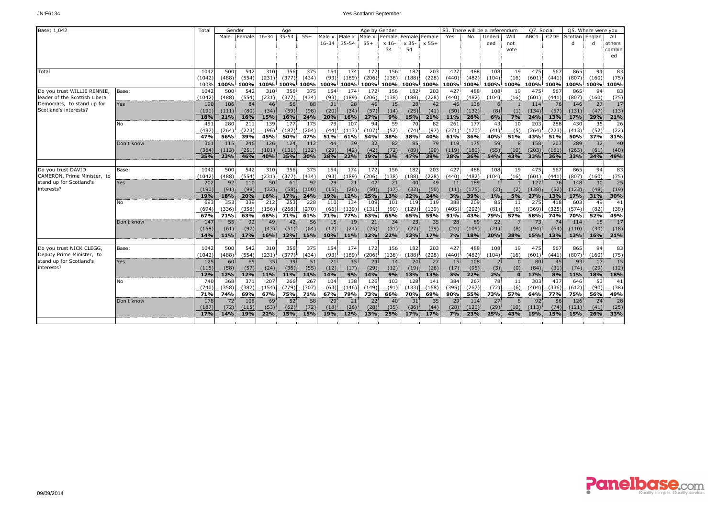| Base: 1,042                    |            | Total  | Gender     |        |            | Age       |       |        |               |                 | Age by Gender |                   |       |       |       | S3. There will be a referendum |              | Q7. Social       |                   |                | Q5. Where were you |        |
|--------------------------------|------------|--------|------------|--------|------------|-----------|-------|--------|---------------|-----------------|---------------|-------------------|-------|-------|-------|--------------------------------|--------------|------------------|-------------------|----------------|--------------------|--------|
|                                |            |        | Male       | Female | $16 - 34$  | $35 - 54$ | $55+$ | Male x | Male x Male x |                 | Female        | : Female : Female |       | Yes   | No    | Undeci                         | Will         | ABC <sub>1</sub> | C <sub>2</sub> DE | Scotlan Englan |                    | All    |
|                                |            |        |            |        |            |           |       |        | 16-34 35-54   | $55+$           | x 16          | x 35-             | x 55+ |       |       | ded                            | not          |                  |                   | d              |                    | others |
|                                |            |        |            |        |            |           |       |        |               |                 | 34            | 54                |       |       |       |                                | vote         |                  |                   |                |                    | combin |
|                                |            |        |            |        |            |           |       |        |               |                 |               |                   |       |       |       |                                |              |                  |                   |                |                    | ed     |
|                                |            |        |            |        |            |           |       |        |               |                 |               |                   |       |       |       |                                |              |                  |                   |                |                    |        |
| Total                          |            | 1042   | 500        | 542    | 310        | 356       | 375   | 154    | 174           | 172             | 156           | 182               | 203   | 427   | 488   | 108                            | 19           | 475              | 567               | 865            | 94                 | 83     |
|                                |            | (1042) | (488)      | (554)  | (231)      | (377)     | (434) | (93)   | (189)         | (206)           | (138)         | (188)             | (228) | (440) | (482) | (104)                          | (16)         | (601)            | (441)             | (807)          | (160)              | (75)   |
|                                |            | 100%   | 100%       | 100%   |            | 100% 100% | 100%  |        | 100% 100%     |                 | 100% 100%     | 100%              | 100%  | 100%  | 100%  | 100%                           | 100%         | 100%             | 100%l             |                | 100% 100%          | 100%   |
| Do you trust WILLIE RENNIE.    | Base:      | 1042   | 500        | 542    | 310        | 356       | 375   | 154    | 174           | 172             | 156           | 182               | 203   | 427   | 488   | 108                            | 19           | 475              | 567               | 865            | 94                 | 83     |
| leader of the Scottish Liberal |            | (1042) | (488)      | (554)  | (231)      | (377)     | (434) | (93)   | (189)         | (206)           | (138)         | (188)             | (228) | (440) | (482) | (104)                          | (16)         | (601)            | (441)             | (807)          | (160)              | (75)   |
| Democrats, to stand up for     | Yes        | 190    | 106        | 84     | 46         | 56        | 88    | 31     | 28            | 46              | 15            | 28                | 42    | 46    | 136   | 6                              |              | 114              | 76                | 146            | 27 <sup>1</sup>    | 17     |
| Scotland's interests?          |            | (191)  | (111)      | (80)   | (34)       | (59)      | (98)  | (20)   | (34)          | (57)            | (14)          | (25)              | (41)  | (50)  | (132) | (8)                            | (1)          | (134)            | (57)              | (131)          | (47)               | (13)   |
|                                |            | 18%    | 21%        | 16%    | 15%        | 16%       | 24%   | 20%    | 16%           | 27%             | 9%            | 15%               | 21%   | 11%   | 28%   | 6%                             | 7%           | 24%              | 13%               | 17%            | 29%                | 21%    |
|                                | No         | 491    | 280        | 211    | 139        | 177       | 175   | 79     | 107           | 94              | 59            | 70                | 82    | 261   | 177   | 43                             | 10           | 203              | 288               | 430            | 35                 | 26     |
|                                |            | (487   | (264)      | (223)  | (96)       | (187)     | (204) | (44)   | (113)         | (107)           | (52)          | (74)              | (97)  | (271) | (170) | (41)                           | (5)          | (264)            | (223)             | (413)          | (52)               | (22)   |
|                                |            | 47%    | 56%        | 39%    | 45%        | 50%       | 47%   | 51%    | 61%           | 54%             | 38%           | 38%               | 40%   | 61%   | 36%   | 40%                            | 51%          | 43%              | 51%               | 50%            | 37%                | 31%    |
|                                | Don't know | 361    | 115        | 246    | 126        | 124       | 112   | 44     | 39            | 32 <sup>2</sup> | 82            | 85                | 79    | 119   | 175   | 59                             |              | 158              | 203               | 289            | 32                 | 40     |
|                                |            | (364)  | (113)      | (251)  | (101)      | (131)     | (132) | (29)   | (42)          | (42)            | (72)          | (89)              | (90)  | (119) | (180) | (55)                           | (10)         | (203)            | (161)             | (263)          | (61)               | (40)   |
|                                |            | 35%    | 23%        | 46%    | 40%        | 35%       | 30%   | 28%    | 22%           | 19%             | 53%           | 47%               | 39%   | 28%   | 36%   | 54%                            | 43%          | 33%              | 36%               | 33%            | 34%                | 49%    |
|                                |            |        |            |        |            |           |       |        |               |                 |               |                   |       |       |       |                                |              |                  |                   |                |                    |        |
| Do you trust DAVID             | Base:      | 1042   | 500        | 542    | 310        | 356       | 375   | 154    | 174           | 172             | 156           | 182               | 203   | 427   | 488   | 108                            | 19           | 475              | 567               | 865            | 94                 | 83     |
| CAMERON, Prime Minister, to    |            | (1042) | (488)      | (554)  | (231)      | (377)     | (434) | (93)   | (189)         | (206)           | (138)         | (188)             | (228) | (440) | (482) | (104)                          | (16)         | (601)            | (441)             | (807)          | (160)              | (75)   |
| stand up for Scotland's        | Yes        | 202    | 92         | 110    | 50         | 61        | 92    | 29     | 21            | 42              | 21            | 40                | 49    | 11    | 189   |                                |              | 127              | 76                | 148            | 30 <sup>1</sup>    | 25     |
| interests?                     |            | (190)  | (91)       | (99)   | (32)       | (58)      | (100) | (15)   | (26)          | (50)            | (17)          | (32)              | (50)  | (11)  | (175) | (2)                            | (2)          | (138)            | (52)              | (123)          | (48)               | (19)   |
|                                |            | 19%    | 18%        | 20%    | 16%        | 17%       | 24%   | 19%    | 12%           | 25%             | 13%           | 22%               | 24%   | 3%    | 39%   | 1%                             | 5%           | 27%              | 13%               | 17%            | 31%                | 30%    |
|                                | No         | 693    | 353        | 339    | 212        | 253       | 228   | 110    | 134           | 109             | 101           | 119               | 119   | 388   | 209   | 85                             | 11           | 275              | 418               | 603            | 49                 | 41     |
|                                |            | (694)  | (336)      | (358)  | (156)      | (268)     | (270) | (66)   | (139)         | (131)           | (90)          | (129)             | (139) | (405) | (202) | (81)                           | (6)          | (369)            | (325)             | (574)          | (82)               | (38)   |
|                                |            | 67%    | 71%        | 63%    | 68%        | 71%       | 61%   | 71%    | 77%           | 63%             | 65%           | 65%               | 59%   | 91%   | 43%   | 79%                            | 57%          | 58%              | 74%               | 70%            | 52%                | 49%    |
|                                | Don't know | 147    | 55         | 92     | 49         | 42        | 56    | 15     | 19            | 21              | 34            | 23                | 35    | 28    | 89    | 22                             |              | 73               | 74                | 114            | 15                 | 17     |
|                                |            | (158)  | (61)       | (97)   | (43)       | (51)      | (64)  | (12)   | (24)          | (25)            | (31)          | (27)              | (39)  | (24)  | (105) | (21)                           | (8)          | (94)             | (64)              | (110)          | (30)               | (18)   |
|                                |            | 14%    | 11%        | 17%    | 16%        | 12%       | 15%   | 10%    | 11%           | 12%             | 22%           | 13%               | 17%   | 7%    | 18%   | 20%                            | 38%          | 15%              | 13%               | 13%            | 16%                | 21%    |
|                                |            |        |            |        |            |           |       |        |               |                 |               |                   |       |       |       |                                |              |                  |                   |                |                    |        |
| Do you trust NICK CLEGG,       | Base:      | 1042   | 500        | 542    | 310        | 356       | 375   | 154    | 174           | 172             | 156           | 182               | 203   | 427   | 488   | 108                            | 19           | 475              | 567               | 865            | 94                 | 83     |
| Deputy Prime Minister, to      |            | (1042) | (488)      | (554)  | (231)      | (377)     | (434) | (93)   | (189)         | (206)           | (138)         | (188)             | (228) | (440) | (482) | (104)                          | (16)         | (601)            | (441)             | (807)          | (160)              | (75)   |
| stand up for Scotland's        | Yes        | 125    | 60         | 65     | 35         | 39        | 51    | 21     | 15            | 24.             | 14            | 24                | 27    | 15    | 108   |                                |              | 80               | 45                | 93             | 17                 | 15     |
| interests?                     |            | (115)  | (58)       | (57)   | (24)       | (36)      | (55)  | (12)   | (17)          | (29)            | (12)          | (19)              | (26)  | (17)  | (95)  | (3)                            | (0)          | (84)             | (31)              | (74)           | (29)               | (12)   |
|                                |            | 12%    | <b>12%</b> | 12%    | <b>11%</b> | 11%       | 14%   | 14%    | 9%            | <b>14%</b>      | 9%            | 13%               | 13%   | 3%    | 22%   | 2%                             | $\mathbf{0}$ | 17%              | 8%                | <b>11%</b>     | 18%                | 18%    |
|                                | No         | 740    | 368        | 371    | 207        | 266       | 267   | 104    | 138           | 126             | 103           | 128               | 141   | 384   | 267   | 78                             | 11           | 303              | 437               | 646            | 53                 | 41     |
|                                |            | (740)  | (358)      | (382)  | (154)      | (279)     | (307) | (63)   | (146)         | (149)           | (91)          | (133)             | (158) | (395) | (267) | (72)                           | (6)          | (404)            | (336)             | (612)          | (90)               | (38)   |
|                                |            | 71%    | 74%        | 69%    | 67%        | 75%       | 71%   | 67%    | 79%           | 73%             | 66%           | 70%               | 69%   | 90%   | 55%   | 73%                            | 57%          | 64%              | 77%               | 75%            | 56%                | 49%    |
|                                | Don't know | 178    | 72         | 106    | 69         | 52        | 58    | 29     | 21            | 22              | 40            | 31                | 35    | 29    | 114   | 27                             |              | 92               | -86               | 126            | 24                 | 28     |
|                                |            | (187)  | (72)       | (115)  | (53)       | (62)      | (72)  | (18)   | (26)          | (28)            | (35)          | (36)              | (44)  | (28)  | (120) | (29)                           | (10)         | (113)            | (74)              | (121)          | (41)               | (25)   |
|                                |            | 17%    | 14%        | 19%    | 22%        | 15%       | 15%   | 19%    | 12%           | 13%             | 25%           | 17%               | 17%   | 7%    | 23%   | 25%                            | 43%          | 19%              | 15%               | 15%            | 26%                | 33%    |
|                                |            |        |            |        |            |           |       |        |               |                 |               |                   |       |       |       |                                |              |                  |                   |                |                    |        |

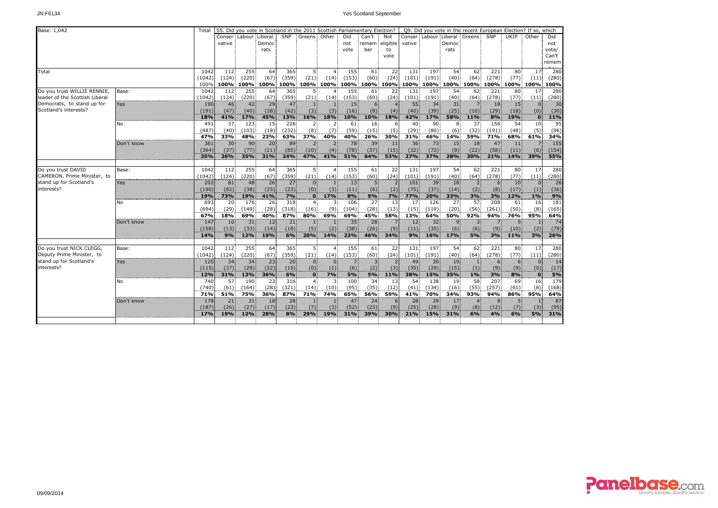| Base: 1,042                    |            | Total  |                 |               | S5. Did you vote in Scotland in the 2011 Scottish Parliamentary Election? |           |                |                |                |                |      |        |       | Q9. Did you vote in the recent European Election? If so, which |                |       |                 |              |       |
|--------------------------------|------------|--------|-----------------|---------------|---------------------------------------------------------------------------|-----------|----------------|----------------|----------------|----------------|------|--------|-------|----------------------------------------------------------------|----------------|-------|-----------------|--------------|-------|
|                                |            |        |                 | Conser Labour | Liberal                                                                   | SNP       | Greens Other   |                | Did            | Can't          | Not  |        |       | Conser: Labour: Liberal                                        | Greens         | SNP   | UKIP            | Other        | Did   |
|                                |            |        | vative          |               | Democ                                                                     |           |                |                | not            | remem eligible |      | vative |       | Democ                                                          |                |       |                 |              | not   |
|                                |            |        |                 |               | rats                                                                      |           |                |                | vote           | ber            | to   |        |       | rats                                                           |                |       |                 |              | vote/ |
|                                |            |        |                 |               |                                                                           |           |                |                |                |                | vote |        |       |                                                                |                |       |                 |              | Can't |
|                                |            |        |                 |               |                                                                           |           |                |                |                |                |      |        |       |                                                                |                |       |                 |              | remem |
| Total                          |            | 1042   | 112             | 255           | 64                                                                        | 365       | 5.             | $\overline{4}$ | 155            | 61             | 22   | 131    | 197   | 54                                                             | 62             | 221   | 80              | 17           | 280   |
|                                |            | (1042) | (124)           | (220)         | (67)                                                                      | (359)     | (21)           | (14)           | (153)          | (60)           | (24) | (101)  | (191) | (40)                                                           | (64)           | (278) | (77)            | (11)         | (280) |
|                                |            | 100%   | 100%            |               | 100% 100% 100% 100% 100%                                                  |           |                |                |                | 100% 100% 100% |      | 100%   |       | 100% 100% 100% 100%                                            |                |       | 100%            | 100%         | 100%  |
| Do you trust WILLIE RENNIE,    | Base:      | 1042   | 112             | 255           | 64                                                                        | 365       | 5.             |                | 155            | 61             | 22   | 131    | 197   | 54                                                             | 62             | 221   | 80              | 17           | 280   |
| leader of the Scottish Liberal |            | (1042) | (124)           | (220)         | (67)                                                                      | (359)     | (21)           | (14)           | (153)          | (60)           | (24) | (101)  | (191) | (40)                                                           | (64)           | (278) | (77)            | (11)         | (280) |
| Democrats, to stand up for     | <b>Yes</b> | 190    | 46              | 42            | 29                                                                        | 47        | $\overline{1}$ | $\mathbf{1}$   | 15             | 6 <sup>1</sup> |      | 55     | 34    | 31                                                             | 7              | 18    | 15              | $\Omega$     | 30    |
| Scotland's interests?          |            | (191)  | (47)            | (40)          | (28)                                                                      | (42)      | (3)            | (3)            | (16)           | (8)            | (4)  | (40)   | (39)  | (25)                                                           | (10)           | (29)  | (18)            | (0)          | (30)  |
|                                |            | 18%    | 41%             | 17%           | 45%                                                                       | 13%       | 16%            | 18%            | 10%            | 10%            | 18%  | 42%    | 17%   | 58%                                                            | 11%            | 8%    | 19%             | $\mathbf{0}$ | 11%   |
|                                | No         | 491    | 37              | 123           | 15                                                                        | 228       | 2:             | $\overline{2}$ | 61             | 16             |      | 40     | 90    | 8                                                              | 37             | 156   | 54              | 10           | 95    |
|                                |            | (487)  | (40)            | (103)         | (18)                                                                      | (232)     | (8)            | (7)            | (59)           | (15)           | (5)  | (29)   | (80)  | (6)                                                            | (32)           | (191) | (48)            | (5)          | (96)  |
|                                |            | 47%    | 33%             | 48%           | 23%                                                                       | 63%       | 37%            | 40%            | 40%            | 26%            | 30%  | 31%    | 46%   | 14%                                                            | 59%            | 71%   | 68%             | 61%          | 34%   |
|                                | Don't know | 361    | 30 <sup>2</sup> | 90            | 20                                                                        | 89        | $\overline{2}$ | $\overline{2}$ | 78             | 39             | 11   | 36     | 73    | 15                                                             | 18             | 47    | 11              |              | 155   |
|                                |            | (364)  | (37)            | (77)          | (21)                                                                      | (85)      | (10)           | (4)            | (78)           | (37)           | (15) | (32)   | (72)  | (9)                                                            | (22)           | (58)  | (11)            | (6)          | (154) |
|                                |            | 35%    | 26%             | 35%           | 31%                                                                       | 24%       | 47%            | 41%            | 51%            | 64%            | 53%  | 27%    | 37%   | 28%                                                            | 30%            | 21%   | 14%             | 39%          | 55%   |
|                                |            |        |                 |               |                                                                           |           |                |                |                |                |      |        |       |                                                                |                |       |                 |              |       |
| Do you trust DAVID             | Base:      | 1042   | 112             | 255           | 64                                                                        | 365       | 5              | $\overline{4}$ | 155            | 61             | 22   | 131    | 197   | 54                                                             | 62             | 221   | 80              | 17           | 280   |
| CAMERON, Prime Minister, to    |            | (1042) | (124)           | (220)         | (67)                                                                      | (359)     | (21)           | (14)           | (153)          | (60)           | (24) | (101)  | (191) | (40)                                                           | (64)           | (278) | (77)            | (11)         | (280) |
| stand up for Scotland's        | Yes        | 202    | 81              | 48            | 26                                                                        | 27        | $\Omega$       |                | 13             | 5 <sub>1</sub> |      | 101    | 39    | 18                                                             | 2 <sub>1</sub> | 6     | 10 <sub>1</sub> | $\Omega$     | 26    |
| interests?                     |            | (190)  | (82)            | (38)          | (25)                                                                      | (23)      | (0)            | (3)            | (11)           | (6)            | (2)  | (75)   | (37)  | (14)                                                           | (2)            | (8)   | (17)            | (1)          | (36)  |
|                                |            | 19%    | 73%             | 19%           | 41%                                                                       | 7%        | $\mathbf{0}$   | 17%            | 8%             | 9%             | 7%   | 77%    | 20%   | 33%                                                            | 3%             | 3%    | 12%             | 1%           | 9%    |
|                                | No         | 693    | 20              | 176           | 26                                                                        | 318       | $\overline{4}$ | 3              | 106            | 27             | 13   | 17     | 126   | 27                                                             | 57             | 208   | 61              | 16           | 181   |
|                                |            | (694)  | (29)            | (149)         | (28)                                                                      | (318)     | (16)           | (9)            | (104)          | (28)           | (13) | (15)   | (119) | (20)                                                           | (56)           | (261) | (50)            | (8)          | (165) |
|                                |            | 67%    | 18%             | 69%           | 40%                                                                       | 87%       | 80%            | 69%            | 69%            | 45%            | 58%  | 13%    | 64%   | 50%                                                            | 92%            | 94%   | 76%             | 95%          | 64%   |
|                                | Don't know | 147    | 10 <sup>1</sup> | 31            | 12                                                                        | 21        | $\vert$ 1      |                | 35             | 28             |      | 12     | 32    | 9 <sub>1</sub>                                                 | $\overline{3}$ |       | 9               |              | 74    |
|                                |            | (158)  | (13)            | (33)          | (14)                                                                      | (18)      | (5)            | (2)            | (38)           | (26)           | (9)  | (11)   | (35)  | (6)                                                            | (6)            | (9)   | (10)            | (2)          | (79)  |
|                                |            | 14%    | 9%              | 12%           | 19%                                                                       | 6%        | 20%            | 14%            | 23%            | 46%            | 34%  | 9%     | 16%   | 17%                                                            | 5%             | 3%    | 11%             | 3%           | 26%   |
|                                |            |        |                 |               |                                                                           |           |                |                |                |                |      |        |       |                                                                |                |       |                 |              |       |
| Do you trust NICK CLEGG,       | Base:      | 1042   | 112             | 255           | 64                                                                        | 365       | 5.             |                | 155            | 61             | 22   | 131    | 197   | 54                                                             | 62             | 221   | 80              | 17           | 280   |
| Deputy Prime Minister, to      |            | (1042) | (124)           | (220)         | (67)                                                                      | (359)     | (21)           | (14)           | (153)          | (60)           | (24) | (101)  | (191) | (40)                                                           | (64)           | (278) | (77)            | (11)         | (280) |
| stand up for Scotland's        | Yes        | 125    | 34              | 34            | 23                                                                        | 20        | $\Omega$       | $\Omega$       | $\overline{7}$ | $\overline{3}$ |      | 49     | 30    | 19                                                             | $\mathbf{1}$   | 6     | 6               | $\Omega$     | 14    |
| interests?                     |            | (115)  | (37)            | (29)          | (22)                                                                      | (15)      | (0)            | (1)            | (6)            | (2)            | (3)  | (35)   | (29)  | (15)                                                           | (1)            | (9)   |                 | (0)          | (17)  |
|                                |            |        |                 |               |                                                                           |           |                |                |                |                |      |        |       |                                                                |                |       | (9)             |              |       |
|                                |            | 12%    | 31%             | 13%           | 36%                                                                       | 6%<br>316 | $\bf{0}$       | 7%             | 5%             | 5%             | 11%  | 38%    | 15%   | 35%                                                            | $1\%$<br>58    | 3%    | 8%              | $\bf{0}$     | 5%    |
|                                | No         | 740    | 57              | 190           | 23                                                                        |           | $\overline{4}$ | 3              | 100            | 34             | 13   | 54     | 138   | 19                                                             |                | 207   | 69              | 16           | 179   |
|                                |            | (740)  | (61)            | (164)         | (28)                                                                      | (321)     | (14)           | (10)           | (95)           | (35)           | (12) | (41)   | (134) | (16)                                                           | (55)           | (257) | (61)            | (8)          | (168) |
|                                |            | 71%    | 51%             | 75%           | 36%                                                                       | 87%       | 71%            | 74%            | 65%            | 56%            | 59%  | 41%    | 70%   | 34%                                                            | 93%            | 94%   | 86%             | 95%          | 64%   |
|                                | Don't know | 178    | 21              | 31            | 18                                                                        | 28        |                |                | 47             | 24             |      | 28     | 29    | 17                                                             |                |       |                 |              | 87    |
|                                |            | (187)  | (26)            | (27)          | (17)                                                                      | (23)      | (7)            | (3)            | (52)           | (23)           | (9)  | (25)   | (28)  | (9)                                                            | (8)            | (12)  | (7)             | (3)          | (95)  |
|                                |            | 17%    | 19%             | 12%           | 28%                                                                       | 8%        | 29%            | 19%            | 31%            | 39%            | 30%  | 21%    | 15%   | 31%                                                            | 6%             | 4%    | 6%              | 5%           | 31%   |
|                                |            |        |                 |               |                                                                           |           |                |                |                |                |      |        |       |                                                                |                |       |                 |              |       |

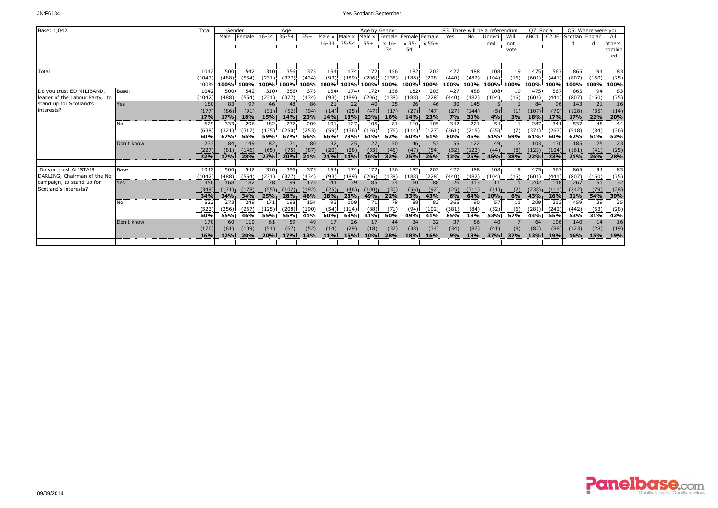| Base: 1,042                    |            | Total  |                 | Gender |                 | Age       |       |                 |                 | Age by Gender   |                 |                          |       |                 |            | S3. There will be a referendum |      | O7. Social |                   |                | Q5. Where were you |        |
|--------------------------------|------------|--------|-----------------|--------|-----------------|-----------|-------|-----------------|-----------------|-----------------|-----------------|--------------------------|-------|-----------------|------------|--------------------------------|------|------------|-------------------|----------------|--------------------|--------|
|                                |            |        | Male            | Female | $16 - 34$       | $35 - 54$ | $55+$ | Male x          | Male x          | Male x          |                 | : Female: Female: Female |       | Yes             | No         | Undeci                         | Will | ABC1       | C <sub>2</sub> DE | Scotlan Englar |                    | All    |
|                                |            |        |                 |        |                 |           |       | $16 - 34$       | 35-54           | $55+$           | x 16-           | x 35-                    | x 55+ |                 |            | ded                            | not  |            |                   | d              |                    | others |
|                                |            |        |                 |        |                 |           |       |                 |                 |                 | 34              | 54                       |       |                 |            |                                | vote |            |                   |                |                    | combin |
|                                |            |        |                 |        |                 |           |       |                 |                 |                 |                 |                          |       |                 |            |                                |      |            |                   |                |                    | ed     |
|                                |            |        |                 |        |                 |           |       |                 |                 |                 |                 |                          |       |                 |            |                                |      |            |                   |                |                    |        |
| Total                          |            | 1042   | 500             | 542    | 310             | 356       | 375   | 154             | 174             | 172             | 156             | 182                      | 203   | 427             | 488        | 108                            | 19   | 475        | 567               | 865            | 94                 | 83     |
|                                |            | (1042) | (488)           | (554)  | (231)           | (377)     | (434) | (93)            | (189)           | (206)           | (138)           | (188)                    | (228) | (440)           | (482)      | (104)                          | (16) | (601)      | (441)             | (807)          | (160)              | (75)   |
|                                |            | 100%   | 100%            | 100%   | 100%            | 100%      | 100%  | 100%            | 100%            |                 | 100% 100%       | 100%                     | 100%  | 100%            | 100%       | 100%                           | 100% |            | 100% 100%         | 100%           | 100%               | 100%   |
| Do you trust ED MILIBAND,      | Base:      | 1042   | 500             | 542    | 310             | 356       | 375   | 154             | 174             | 172             | 156             | 182                      | 203   | 427             | 488        | 108                            | 19   | 475        | 567               | 865            | 94                 | 83     |
| leader of the Labour Party, to |            | (1042) | (488)           | (554)  | (231)           | (377)     | (434) | (93)            | (189)           | (206)           | (138)           | (188)                    | (228) | (440)           | (482)      | (104)                          | (16) | (601)      | (441)             | (807)          | (160)              | (75)   |
| stand up for Scotland's        | <b>Yes</b> | 180    | 83              | 97     | 46 <sup>1</sup> | 48        | 86    | 21              | 22              | 40 <sup>1</sup> | 25              | 26 <sup>1</sup>          | 46    | 30 <sup>1</sup> | 145        |                                |      | 84         | 96                | 143            | 21                 | 16     |
| interests?                     |            | (177)  | (86)            | (91)   | (31)            | (52)      | (94)  | (14)            | (25)            | (47)            | (17)            | (27)                     | (47)  | (27)            | (144)      | (5)                            |      | (107)      | (70)              | (128)          | (35)               | (14)   |
|                                |            | 17%    | 17%             | 18%    | 15%             | 14%       | 23%   | <b>14%</b>      | 13%             | 23%             | 16%             | 14%                      | 23%   | 7%              | 30%        | 4%                             | 3%   | <b>18%</b> | <b>17%</b>        | 17%            | 22%                | 20%    |
|                                | No         | 629    | 333             | 296    | 182             | 237       | 209   | 101             | 127             | 105             | 81              | 110                      | 105   | 342             | 221        | 54                             |      | 287        | 341               | 537            | 48                 | 44     |
|                                |            | (638)  | (321)           | (317)  | (135)           | (250)     | (253) | (59)            | (136)           | (126)           | (76)            | (114)                    | (127) | (361)           | (215)      | (55)                           |      | (371)      | (267)             | (518)          | (84)               | (36)   |
|                                |            | 60%    | 67%             | 55%    | 59%             | 67%       | 56%   | 66%             | 73%             | 61%             | 52%             | 60%                      | 51%   | 80%             | 45%        | 51%                            | 59%  | 61%        | 60%               | 62%            | 51%                | 52%    |
|                                | Don't know | 233    | 84              | 149    | 82              | 71        | 80    | 32              | 25              | 27 <sup>1</sup> | 50              | 46                       | 53    | 55              | 122        | 49                             |      | 103        | 130               | 185            | 25                 | 23     |
|                                |            | (227)  | (81)            | (146)  | (65)            | (75)      | (87)  | (20)            | (28)            | (33)            | (45)            | (47)                     | (54)  | (52)            | (123)      | (44)                           | (8)  | (123)      | (104)             | (161)          | (41)               | (25)   |
|                                |            | 22%    | 17%             | 28%    | 27%             | 20%       | 21%   | 21%             | <b>14%</b>      | 16%             | 32%             | 25%                      | 26%   | 13%             | <b>25%</b> | 45%                            | 38%  | 22%        | 23%               | 21%            | 26%                | 28%    |
| Do you trust ALISTAIR          | Base:      | 1042   | 500             | 542    | 310             | 356       | 375   | 154             | 174             | 172             | 156             | 182                      | 203   | 427             | 488        | 108                            | 19   | 475        | 567               | 865            | 94                 | 83     |
| DARLING, Chairman of the No    |            | (1042) | (488)           | (554)  | (231)           | (377)     | (434) | (93)            | (189)           | (206)           | (138)           | (188)                    | (228) | (440)           | (482)      | (104)                          | (16) | (601)      | (441)             | (807)          | (160)              | (75)   |
| campaign, to stand up for      | Yes        | 350    | 168             | 182    | 78              | 99        | 173   | 44              | 39              | 85              | 34 <sup>1</sup> | 60                       | 88    | 26 <sup>1</sup> | 313        | 11                             |      | 202        | 148               | 267            | 51                 | 32     |
| Scotland's interests?          |            | (349)  | (171)           | (178)  | (55)            | (102)     | (192) | (25)            | (46)            | (100)           | (30)            | (56)                     | (92)  | (25)            | (311)      | (11)                           | (2)  | (238)      | (111)             | (242)          | (79)               | (28)   |
|                                |            | 34%    | 34%             | 34%    | 25%             | 28%       | 46%   | 28%             | 23%             | 49%             | 22%             | 33%                      | 43%   | 6%              | <b>64%</b> | 10%                            | 6%   | 43%        | 26%               | 31%            | 54%                | 39%    |
|                                | N٥         | 522    | 273             | 249    | 171             | 198       | 154   | 93              | 109             | 71              | 78              | 88                       | 83    | 365             | 90         | 57                             | 11   | 209        | 313               | 459            | 29                 | 35     |
|                                |            | (523)  | (256)           | (267)  | (125)           | (208)     | (190) | (54)            | (114)           | (88)            | (71)            | (94)                     | (102) | (381)           | (84)       | (52)                           | (6)  | (281)      | (242)             | (442)          | (53)               | (28)   |
|                                |            | 50%    | 55%             | 46%    | 55%             | 55%       | 41%   | 60%             | 63%             | 41%             | 50%             | 49%                      | 41%   | 85%             | 18%        | 53%                            | 57%  | 44%        | 55%               | 53%            | 31%                | 42%    |
|                                | Don't know | 170    | 60 <sup>1</sup> | 110    | 61              | 59        | 49    | 17 <sup>1</sup> | 26 <sup>2</sup> | 17 <sup>1</sup> | 44              | 34                       | 32    | 37              | 86         | 40 <sup>1</sup>                |      | 64         | 106               | 140            | 14 <sup>1</sup>    | 16     |
|                                |            | (170)  | (61)            | (109)  | (51)            | (67)      | (52)  | (14)            | (29)            | (18)            | (37)            | (38)                     | (34)  | (34)            | (87)       | (41)                           | (8)  | (82)       | (88)              | (123)          | (28)               | (19)   |
|                                |            | 16%    | 12%             | 20%    | 20%             | 17%       | 13%   | <b>11%</b>      | 15%             | 10%             | 28%             | <b>18%</b>               | 16%   | 9%              | <b>18%</b> | 37%                            | 37%  | 13%        | 19%               | 16%            | 15%                | 19%    |
|                                |            |        |                 |        |                 |           |       |                 |                 |                 |                 |                          |       |                 |            |                                |      |            |                   |                |                    |        |